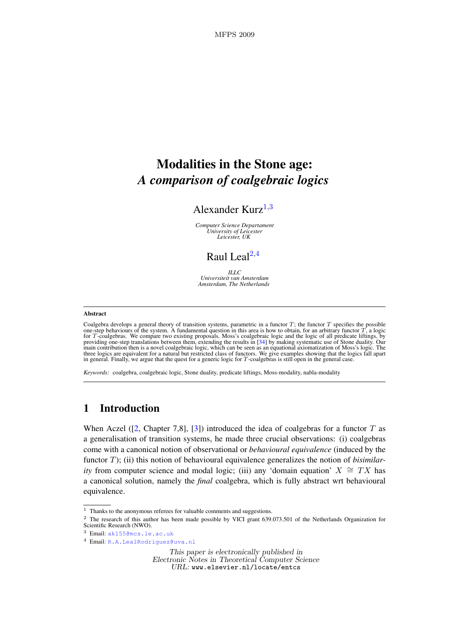# Modalities in the Stone age: *A comparison of coalgebraic logics*

# Alexander Kurz $^{1,3}$  $^{1,3}$  $^{1,3}$  $^{1,3}$  $^{1,3}$

*Computer Science Departament University of Leicester Leicester, UK*

# Raul Leal $^{2,4}$  $^{2,4}$  $^{2,4}$  $^{2,4}$  $^{2,4}$

*ILLC Universiteit van Amsterdam Amsterdam, The Netherlands*

#### <span id="page-0-0"></span>Abstract

Coalgebra develops a general theory of transition systems, parametric in a functor  $T$ ; the functor  $T$  specifies the possible one-step behaviours of the system. A fundamental question in this area is how to obtain, for a for  $T$ -coalgebras. We compare two existing proposals, Moss's coalgebraic logic and the logic of all predicate liftings, by providing one-step translations between them, extending the results in  $[34]$  by making systemati three logics are equivalent for a natural but restricted class of functors. We give examples showing that the logics fall apart<br>in general. Finally, we argue that the quest for a generic logic for T-coalgebras is still ope

*Keywords:* coalgebra, coalgebraic logic, Stone duality, predicate liftings, Moss-modality, nabla-modality

# 1 Introduction

When Aczel ([\[2,](#page-42-0) Chapter 7,8], [\[3\]](#page-42-1)) introduced the idea of coalgebras for a functor T as a generalisation of transition systems, he made three crucial observations: (i) coalgebras come with a canonical notion of observational or *behavioural equivalence* (induced by the functor T); (ii) this notion of behavioural equivalence generalizes the notion of *bisimilarity* from computer science and modal logic; (iii) any 'domain equation'  $X \cong TX$  has a canonical solution, namely the *final* coalgebra, which is fully abstract wrt behavioural equivalence.

 $1$  Thanks to the anonymous referees for valuable comments and suggestions.

<sup>2</sup> The research of this author has been made possible by VICI grant 639.073.501 of the Netherlands Organization for Scientific Research (NWO).

<sup>3</sup> Email: [ak155@mcs.le.ac.uk](mailto:myuserid@mydept.myinst.myedu)

<sup>4</sup> Email: [R.A.LealRodriguez@uva.nl](mailto:couserid@codept.coinst.coedu)

This paper is electronically published in Electronic Notes in Theoretical Computer Science URL: www.elsevier.nl/locate/entcs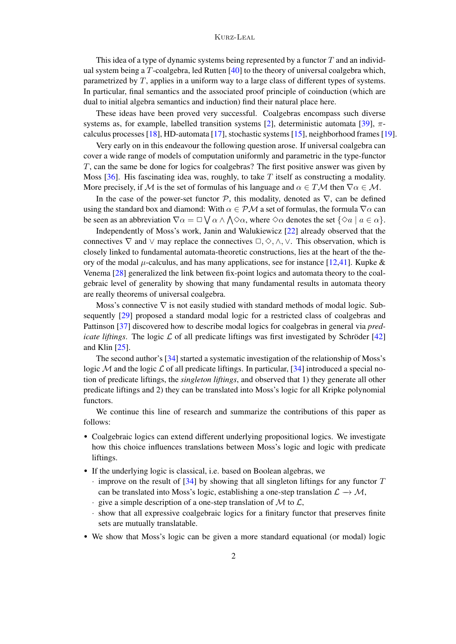### Kurz-Leal

This idea of a type of dynamic systems being represented by a functor  $T$  and an individual system being a T-coalgebra, led Rutten [\[40\]](#page-43-1) to the theory of universal coalgebra which, parametrized by T, applies in a uniform way to a large class of different types of systems. In particular, final semantics and the associated proof principle of coinduction (which are dual to initial algebra semantics and induction) find their natural place here.

These ideas have been proved very successful. Coalgebras encompass such diverse systems as, for example, labelled transition systems [\[2\]](#page-42-0), deterministic automata [\[39\]](#page-43-2),  $\pi$ calculus processes [\[18\]](#page-43-3), HD-automata [\[17\]](#page-42-2), stochastic systems [\[15\]](#page-42-3), neighborhood frames [\[19\]](#page-43-4).

Very early on in this endeavour the following question arose. If universal coalgebra can cover a wide range of models of computation uniformly and parametric in the type-functor T, can the same be done for logics for coalgebras? The first positive answer was given by Moss  $[36]$ . His fascinating idea was, roughly, to take T itself as constructing a modality. More precisely, if M is the set of formulas of his language and  $\alpha \in T\mathcal{M}$  then  $\nabla \alpha \in \mathcal{M}$ .

In the case of the power-set functor  $P$ , this modality, denoted as  $\nabla$ , can be defined using the standard box and diamond: With  $\alpha \in \mathcal{PM}$  a set of formulas, the formula  $\nabla \alpha$  can be seen as an abbreviation  $\nabla \alpha = \Box \bigvee \alpha \wedge \bigwedge \Diamond \alpha$ , where  $\Diamond \alpha$  denotes the set  $\{\Diamond a \mid a \in \alpha\}$ .

Independently of Moss's work, Janin and Walukiewicz [\[22\]](#page-43-6) already observed that the connectives  $\nabla$  and  $\vee$  may replace the connectives  $\Box, \Diamond, \wedge, \vee$ . This observation, which is closely linked to fundamental automata-theoretic constructions, lies at the heart of the theory of the modal  $\mu$ -calculus, and has many applications, see for instance [\[12](#page-42-4)[,41\]](#page-43-7). Kupke & Venema [\[28\]](#page-43-8) generalized the link between fix-point logics and automata theory to the coalgebraic level of generality by showing that many fundamental results in automata theory are really theorems of universal coalgebra.

Moss's connective  $\nabla$  is not easily studied with standard methods of modal logic. Sub-sequently [\[29\]](#page-43-9) proposed a standard modal logic for a restricted class of coalgebras and Pattinson [\[37\]](#page-43-10) discovered how to describe modal logics for coalgebras in general via *predicate liftings*. The logic  $\mathcal L$  of all predicate liftings was first investigated by Schröder [[42\]](#page-43-11) and Klin [\[25\]](#page-43-12).

The second author's [\[34\]](#page-43-0) started a systematic investigation of the relationship of Moss's logic M and the logic  $\mathcal L$  of all predicate liftings. In particular, [\[34\]](#page-43-0) introduced a special notion of predicate liftings, the *singleton liftings*, and observed that 1) they generate all other predicate liftings and 2) they can be translated into Moss's logic for all Kripke polynomial functors.

We continue this line of research and summarize the contributions of this paper as follows:

- Coalgebraic logics can extend different underlying propositional logics. We investigate how this choice influences translations between Moss's logic and logic with predicate liftings.
- If the underlying logic is classical, i.e. based on Boolean algebras, we
	- $\cdot$  improve on the result of [\[34\]](#page-43-0) by showing that all singleton liftings for any functor T can be translated into Moss's logic, establishing a one-step translation  $\mathcal{L} \to \mathcal{M}$ ,
	- $\cdot$  give a simple description of a one-step translation of M to  $\mathcal{L}$ ,
	- · show that all expressive coalgebraic logics for a finitary functor that preserves finite sets are mutually translatable.
- We show that Moss's logic can be given a more standard equational (or modal) logic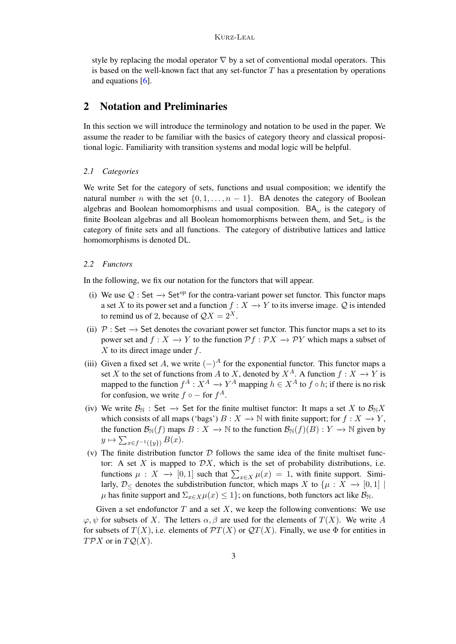style by replacing the modal operator  $\nabla$  by a set of conventional modal operators. This is based on the well-known fact that any set-functor  $T$  has a presentation by operations and equations [\[6\]](#page-42-5).

# 2 Notation and Preliminaries

In this section we will introduce the terminology and notation to be used in the paper. We assume the reader to be familiar with the basics of category theory and classical propositional logic. Familiarity with transition systems and modal logic will be helpful.

### *2.1 Categories*

We write Set for the category of sets, functions and usual composition; we identify the natural number n with the set  $\{0, 1, \ldots, n-1\}$ . BA denotes the category of Boolean algebras and Boolean homomorphisms and usual composition.  $BA_{\omega}$  is the category of finite Boolean algebras and all Boolean homomorphisms between them, and  $Set_{\omega}$  is the category of finite sets and all functions. The category of distributive lattices and lattice homomorphisms is denoted DL.

### *2.2 Functors*

In the following, we fix our notation for the functors that will appear.

- (i) We use  $Q : Set \rightarrow Set^{op}$  for the contra-variant power set functor. This functor maps a set X to its power set and a function  $f : X \to Y$  to its inverse image. Q is intended to remind us of 2, because of  $\mathcal{Q}X = 2^X$ .
- (ii)  $\mathcal{P}:$  Set  $\rightarrow$  Set denotes the covariant power set functor. This functor maps a set to its power set and  $f: X \to Y$  to the function  $\mathcal{P}f: \mathcal{P}X \to \mathcal{P}Y$  which maps a subset of  $X$  to its direct image under  $f$ .
- (iii) Given a fixed set A, we write  $(-)^A$  for the exponential functor. This functor maps a set X to the set of functions from A to X, denoted by  $X^A$ . A function  $f: X \to Y$  is mapped to the function  $f^A: X^A \to Y^A$  mapping  $h \in X^A$  to  $f \circ h$ ; if there is no risk for confusion, we write  $f \circ -$  for  $f^A$ .
- (iv) We write  $\mathcal{B}_{\mathbb{N}}$  : Set  $\to$  Set for the finite multiset functor: It maps a set X to  $\mathcal{B}_{\mathbb{N}}X$ which consists of all maps ('bags')  $B: X \to \mathbb{N}$  with finite support; for  $f: X \to Y$ , the function  $\mathcal{B}_{\mathbb{N}}(f)$  maps  $B : X \to \mathbb{N}$  to the function  $\mathcal{B}_{\mathbb{N}}(f)(B) : Y \to \mathbb{N}$  given by  $y \mapsto \sum_{x \in f^{-1}(\{y\})} B(x).$
- (v) The finite distribution functor  $D$  follows the same idea of the finite multiset functor: A set  $X$  is mapped to  $\mathcal{D}X$ , which is the set of probability distributions, i.e. functions  $\mu : X \to [0,1]$  such that  $\sum_{x \in X} \mu(x) = 1$ , with finite support. Similarly,  $\mathcal{D}_{\leq}$  denotes the subdistribution functor, which maps X to  $\{\mu : X \to [0,1]$  $\mu$  has finite support and  $\Sigma_{x \in X} \mu(x) \leq 1$ ; on functions, both functors act like  $\mathcal{B}_{\mathbb{N}}$ .

Given a set endofunctor  $T$  and a set  $X$ , we keep the following conventions: We use  $\varphi, \psi$  for subsets of X. The letters  $\alpha, \beta$  are used for the elements of  $T(X)$ . We write A for subsets of  $T(X)$ , i.e. elements of  $\mathcal{P}T(X)$  or  $\mathcal{Q}T(X)$ . Finally, we use  $\Phi$  for entities in  $T \mathcal{P} X$  or in  $T \mathcal{Q}(X)$ .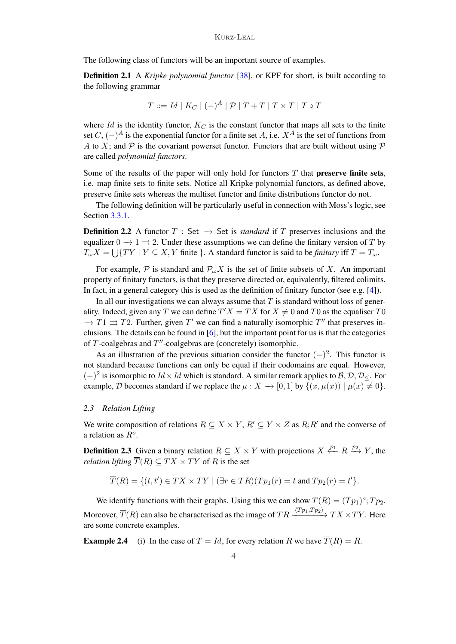The following class of functors will be an important source of examples.

Definition 2.1 A *Kripke polynomial functor* [\[38\]](#page-43-13), or KPF for short, is built according to the following grammar

$$
T ::= Id \mid K_C \mid (-)^A \mid \mathcal{P} \mid T + T \mid T \times T \mid T \circ T
$$

where Id is the identity functor,  $K_C$  is the constant functor that maps all sets to the finite set  $C$ ,  $(-)$ <sup>A</sup> is the exponential functor for a finite set A, i.e.  $X^A$  is the set of functions from A to X; and  $\mathcal P$  is the covariant powerset functor. Functors that are built without using  $\mathcal P$ are called *polynomial functors*.

Some of the results of the paper will only hold for functors  $T$  that **preserve finite sets**, i.e. map finite sets to finite sets. Notice all Kripke polynomial functors, as defined above, preserve finite sets whereas the multiset functor and finite distributions functor do not.

The following definition will be particularly useful in connection with Moss's logic, see Section [3.3.1.](#page-11-0)

<span id="page-3-0"></span>**Definition 2.2** A functor  $T : Set \rightarrow Set$  is *standard* if T preserves inclusions and the equalizer  $0 \rightarrow 1 \rightrightarrows 2$ . Under these assumptions we can define the finitary version of T by  $T_{\omega}X = \bigcup \{TY \mid Y \subseteq X, Y \text{ finite }\}$ . A standard functor is said to be *finitary* iff  $T = T_{\omega}$ .

For example,  $P$  is standard and  $P_{\omega}X$  is the set of finite subsets of X. An important property of finitary functors, is that they preserve directed or, equivalently, filtered colimits. In fact, in a general category this is used as the definition of finitary functor (see e.g. [\[4\]](#page-42-6)).

In all our investigations we can always assume that  $T$  is standard without loss of generality. Indeed, given any T we can define  $T'X = TX$  for  $X \neq 0$  and T0 as the equaliser T0  $\rightarrow T1 \Rightarrow T2$ . Further, given T' we can find a naturally isomorphic T'' that preserves inclusions. The details can be found in [\[6\]](#page-42-5), but the important point for us is that the categories of  $T$ -coalgebras and  $T''$ -coalgebras are (concretely) isomorphic.

As an illustration of the previous situation consider the functor  $(-)^2$ . This functor is not standard because functions can only be equal if their codomains are equal. However,  $(-)^2$  is isomorphic to  $Id \times Id$  which is standard. A similar remark applies to  $B, D, D_{\leq}$ . For example, D becomes standard if we replace the  $\mu : X \to [0, 1]$  by  $\{(x, \mu(x)) \mid \mu(x) \neq 0\}.$ 

### <span id="page-3-2"></span>*2.3 Relation Lifting*

We write composition of relations  $R \subseteq X \times Y$ ,  $R' \subseteq Y \times Z$  as  $R$ ;  $R'$  and the converse of a relation as  $R^o$ .

<span id="page-3-1"></span>**Definition 2.3** Given a binary relation  $R \subseteq X \times Y$  with projections  $X \xleftarrow{p_1} R \xrightarrow{p_2} Y$ , the *relation lifting*  $\overline{T}(R) \subseteq TX \times TY$  of R is the set

$$
\overline{T}(R) = \{ (t, t') \in TX \times TY \mid (\exists r \in TR)(Tp_1(r) = t \text{ and } Tp_2(r) = t' \}.
$$

We identify functions with their graphs. Using this we can show  $\overline{T}(R) = (Tp_1)^o; Tp_2$ . Moreover,  $\overline{T}(R)$  can also be characterised as the image of  $TR \xrightarrow{\langle Tp_1,Tp_2 \rangle} TX \times TY$ . Here are some concrete examples.

<span id="page-3-3"></span>**Example 2.4** (i) In the case of  $T = Id$ , for every relation R we have  $\overline{T}(R) = R$ .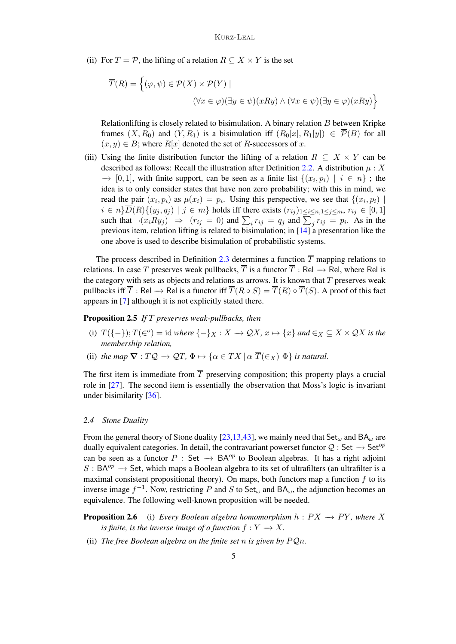(ii) For  $T = \mathcal{P}$ , the lifting of a relation  $R \subseteq X \times Y$  is the set

$$
\overline{T}(R) = \left\{ (\varphi, \psi) \in \mathcal{P}(X) \times \mathcal{P}(Y) \mid
$$
  

$$
(\forall x \in \varphi)(\exists y \in \psi)(xRy) \land (\forall x \in \psi)(\exists y \in \varphi)(xRy) \right\}
$$

Relationlifting is closely related to bisimulation. A binary relation  $B$  between Kripke frames  $(X, R_0)$  and  $(Y, R_1)$  is a bisimulation iff  $(R_0[x], R_1[y]) \in \overline{\mathcal{P}}(B)$  for all  $(x, y) \in B$ ; where  $R[x]$  denoted the set of R-successors of x.

(iii) Using the finite distribution functor the lifting of a relation  $R \subseteq X \times Y$  can be described as follows: Recall the illustration after Definition [2.2.](#page-3-0) A distribution  $\mu$  : X  $\rightarrow$  [0, 1], with finite support, can be seen as a finite list  $\{(x_i, p_i) \mid i \in n\}$ ; the idea is to only consider states that have non zero probability; with this in mind, we read the pair  $(x_i, p_i)$  as  $\mu(x_i) = p_i$ . Using this perspective, we see that  $\{(x_i, p_i) \mid$  $i \in n\} \overline{D}(R)\{(y_j, q_j) \mid j \in m\}$  holds iff there exists  $(r_{ij})_{1 \leq i \leq n, 1 \leq j \leq m}$ ,  $r_{ij} \in [0, 1]$ such that  $\neg(x_i R y_j) \Rightarrow (r_{ij} = 0)$  and  $\sum_i r_{ij} = q_j$  and  $\sum_j r_{ij} = p_i$ . As in the previous item, relation lifting is related to bisimulation; in [\[14\]](#page-42-7) a presentation like the one above is used to describe bisimulation of probabilistic systems.

The process described in Definition [2.3](#page-3-1) determines a function  $\overline{T}$  mapping relations to relations. In case T preserves weak pullbacks,  $\overline{T}$  is a functor  $\overline{T}$  : Rel  $\rightarrow$  Rel, where Rel is the category with sets as objects and relations as arrows. It is known that  $T$  preserves weak pullbacks iff  $\overline{T}$ : Rel  $\rightarrow$  Rel is a functor iff  $\overline{T}(R \circ S) = \overline{T}(R) \circ \overline{T}(S)$ . A proof of this fact appears in [\[7\]](#page-42-8) although it is not explicitly stated there.

### <span id="page-4-1"></span>Proposition 2.5 *If* T *preserves weak-pullbacks, then*

- (i)  $T(\{-\}); T(\infty) = \text{id where } \{-\}_X : X \to \mathcal{Q}X, x \mapsto \{x\} \text{ and } \in_X \subseteq X \times \mathcal{Q}X \text{ is the }$ *membership relation,*
- <span id="page-4-2"></span>(ii) *the map*  $\nabla : TQ \to QT$ ,  $\Phi \mapsto {\alpha \in TX \mid \alpha \ \overline{T}(\epsilon_X) \ \Phi}$  *is natural.*

The first item is immediate from  $\overline{T}$  preserving composition; this property plays a crucial role in [\[27\]](#page-43-14). The second item is essentially the observation that Moss's logic is invariant under bisimilarity [\[36\]](#page-43-5).

#### <span id="page-4-0"></span>*2.4 Stone Duality*

From the general theory of Stone duality [\[23,](#page-43-15)[13,](#page-42-9)[43\]](#page-43-16), we mainly need that Set<sub>ω</sub> and BA<sub>ω</sub> are dually equivalent categories. In detail, the contravariant powerset functor  $Q : Set \rightarrow Set^{op}$ can be seen as a functor P : Set  $\rightarrow$  BA<sup>op</sup> to Boolean algebras. It has a right adjoint  $S: BA^{op} \to Set$ , which maps a Boolean algebra to its set of ultrafilters (an ultrafilter is a maximal consistent propositional theory). On maps, both functors map a function  $f$  to its inverse image  $f^{-1}$ . Now, restricting P and S to Set<sub> $\omega$ </sub> and BA<sub> $\omega$ </sub>, the adjunction becomes an equivalence. The following well-known proposition will be needed.

**Proposition 2.6** (i) *Every Boolean algebra homomorphism*  $h : PX \rightarrow PY$ *, where* X *is finite, is the inverse image of a function*  $f: Y \to X$ .

(ii) *The free Boolean algebra on the finite set n is given by*  $PQn$ *.*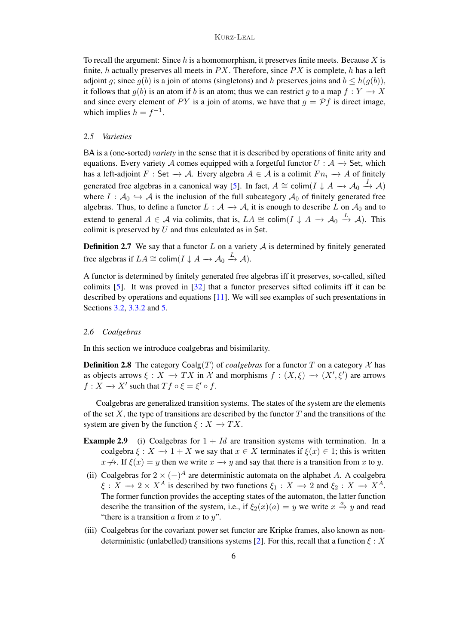To recall the argument: Since  $h$  is a homomorphism, it preserves finite meets. Because X is finite, h actually preserves all meets in  $PX$ . Therefore, since  $PX$  is complete, h has a left adjoint q; since  $q(b)$  is a join of atoms (singletons) and h preserves joins and  $b \leq h(q(b))$ , it follows that  $q(b)$  is an atom if b is an atom; thus we can restrict g to a map  $f: Y \to X$ and since every element of PY is a join of atoms, we have that  $g = Pf$  is direct image, which implies  $h = f^{-1}$ .

### <span id="page-5-2"></span>*2.5 Varieties*

BA is a (one-sorted) *variety* in the sense that it is described by operations of finite arity and equations. Every variety A comes equipped with a forgetful functor  $U : A \rightarrow$  Set, which has a left-adjoint F : Set  $\rightarrow$  A. Every algebra  $A \in \mathcal{A}$  is a colimit  $Fn_i \rightarrow A$  of finitely generated free algebras in a canonical way [\[5\]](#page-42-10). In fact,  $A \cong \text{colim}(I \downarrow A \rightarrow \mathcal{A}_0 \stackrel{I}{\rightarrow} \mathcal{A})$ where  $I : A_0 \hookrightarrow A$  is the inclusion of the full subcategory  $A_0$  of finitely generated free algebras. Thus, to define a functor  $L : A \rightarrow A$ , it is enough to describe L on  $A_0$  and to extend to general  $A \in \mathcal{A}$  via colimits, that is,  $LA \cong \text{colim}(I \downarrow A \rightarrow \mathcal{A}_0 \stackrel{L}{\rightarrow} \mathcal{A})$ . This colimit is preserved by  $U$  and thus calculated as in Set.

<span id="page-5-1"></span>**Definition 2.7** We say that a functor  $L$  on a variety  $A$  is determined by finitely generated free algebras if  $LA \cong \text{colim}(I \downarrow A \rightarrow \mathcal{A}_0 \stackrel{L}{\rightarrow} \mathcal{A})$ .

A functor is determined by finitely generated free algebras iff it preserves, so-called, sifted colimits [\[5\]](#page-42-10). It was proved in [\[32\]](#page-43-17) that a functor preserves sifted colimits iff it can be described by operations and equations [\[11\]](#page-42-11). We will see examples of such presentations in Sections [3.2,](#page-9-0) [3.3.2](#page-13-0) and [5.](#page-27-0)

### *2.6 Coalgebras*

In this section we introduce coalgebras and bisimilarity.

**Definition 2.8** The category  $\text{Coalg}(T)$  of *coalgebras* for a functor T on a category X has as objects arrows  $\xi: X \to TX$  in X and morphisms  $f: (X, \xi) \to (X', \xi')$  are arrows  $f: X \to X'$  such that  $Tf \circ \xi = \xi' \circ f$ .

Coalgebras are generalized transition systems. The states of the system are the elements of the set X, the type of transitions are described by the functor  $T$  and the transitions of the system are given by the function  $\xi : X \to TX$ .

- <span id="page-5-0"></span>**Example 2.9** (i) Coalgebras for  $1 + Id$  are transition systems with termination. In a coalgebra  $\xi : X \to 1 + X$  we say that  $x \in X$  terminates if  $\xi(x) \in 1$ ; this is written  $x \nightharpoonup$ . If  $\xi(x) = y$  then we write  $x \rightarrow y$  and say that there is a transition from x to y.
- (ii) Coalgebras for  $2 \times (-)^A$  are deterministic automata on the alphabet A. A coalgebra  $\xi : \overline{X} \to 2 \times X^A$  is described by two functions  $\xi_1 : X \to 2$  and  $\xi_2 : X \to X^A$ . The former function provides the accepting states of the automaton, the latter function describe the transition of the system, i.e., if  $\xi_2(x)(a) = y$  we write  $x \stackrel{a}{\rightarrow} y$  and read "there is a transition  $\alpha$  from  $x$  to  $y$ ".
- (iii) Coalgebras for the covariant power set functor are Kripke frames, also known as non-deterministic (unlabelled) transitions systems [\[2\]](#page-42-0). For this, recall that a function  $\xi : X$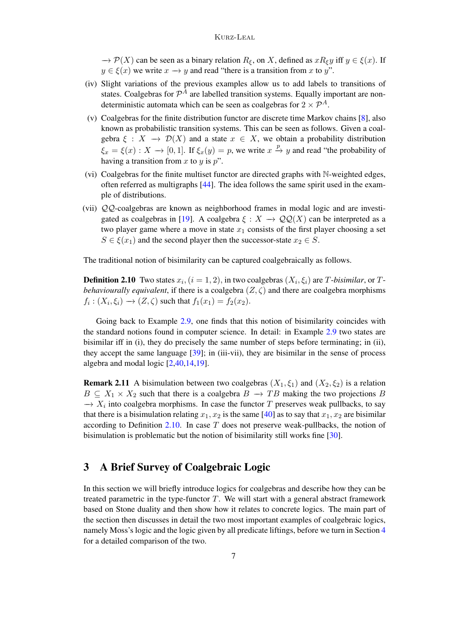$\rightarrow \mathcal{P}(X)$  can be seen as a binary relation  $R_{\xi}$ , on X, defined as  $xR_{\xi}y$  iff  $y \in \xi(x)$ . If  $y \in \xi(x)$  we write  $x \to y$  and read "there is a transition from x to y".

- (iv) Slight variations of the previous examples allow us to add labels to transitions of states. Coalgebras for  $\mathcal{P}^A$  are labelled transition systems. Equally important are nondeterministic automata which can be seen as coalgebras for  $2 \times \mathcal{P}^A$ .
- (v) Coalgebras for the finite distribution functor are discrete time Markov chains [\[8\]](#page-42-12), also known as probabilistic transition systems. This can be seen as follows. Given a coalgebra  $\xi : X \to \mathcal{D}(X)$  and a state  $x \in X$ , we obtain a probability distribution  $\xi_x = \xi(x) : X \to [0, 1]$ . If  $\xi_x(y) = p$ , we write  $x \stackrel{p}{\to} y$  and read "the probability of having a transition from  $x$  to  $y$  is  $p$ ".
- (vi) Coalgebras for the finite multiset functor are directed graphs with N-weighted edges, often referred as multigraphs [\[44\]](#page-43-18). The idea follows the same spirit used in the example of distributions.
- (vii) QQ-coalgebras are known as neighborhood frames in modal logic and are investi-gated as coalgebras in [\[19\]](#page-43-4). A coalgebra  $\xi : X \to \mathcal{QQ}(X)$  can be interpreted as a two player game where a move in state  $x_1$  consists of the first player choosing a set  $S \in \xi(x_1)$  and the second player then the successor-state  $x_2 \in S$ .

The traditional notion of bisimilarity can be captured coalgebraically as follows.

<span id="page-6-0"></span>**Definition 2.10** Two states  $x_i$ ,  $(i = 1, 2)$ , in two coalgebras  $(X_i, \xi_i)$  are T-bisimilar, or T*behaviourally equivalent*, if there is a coalgebra  $(Z, \zeta)$  and there are coalgebra morphisms  $f_i: (X_i, \xi_i) \to (Z, \zeta)$  such that  $f_1(x_1) = f_2(x_2)$ .

Going back to Example [2.9,](#page-5-0) one finds that this notion of bisimilarity coincides with the standard notions found in computer science. In detail: in Example [2.9](#page-5-0) two states are bisimilar iff in (i), they do precisely the same number of steps before terminating; in (ii), they accept the same language [\[39\]](#page-43-2); in (iii-vii), they are bisimilar in the sense of process algebra and modal logic [\[2,](#page-42-0)[40](#page-43-1)[,14](#page-42-7)[,19\]](#page-43-4).

**Remark 2.11** A bisimulation between two coalgebras  $(X_1, \xi_1)$  and  $(X_2, \xi_2)$  is a relation  $B \subseteq X_1 \times X_2$  such that there is a coalgebra  $B \to TB$  making the two projections B  $\rightarrow X_i$  into coalgebra morphisms. In case the functor T preserves weak pullbacks, to say that there is a bisimulation relating  $x_1, x_2$  is the same [\[40\]](#page-43-1) as to say that  $x_1, x_2$  are bisimilar according to Definition [2.10.](#page-6-0) In case  $T$  does not preserve weak-pullbacks, the notion of bisimulation is problematic but the notion of bisimilarity still works fine [\[30\]](#page-43-19).

# 3 A Brief Survey of Coalgebraic Logic

In this section we will briefly introduce logics for coalgebras and describe how they can be treated parametric in the type-functor  $T$ . We will start with a general abstract framework based on Stone duality and then show how it relates to concrete logics. The main part of the section then discusses in detail the two most important examples of coalgebraic logics, namely Moss's logic and the logic given by all predicate liftings, before we turn in Section [4](#page-16-0) for a detailed comparison of the two.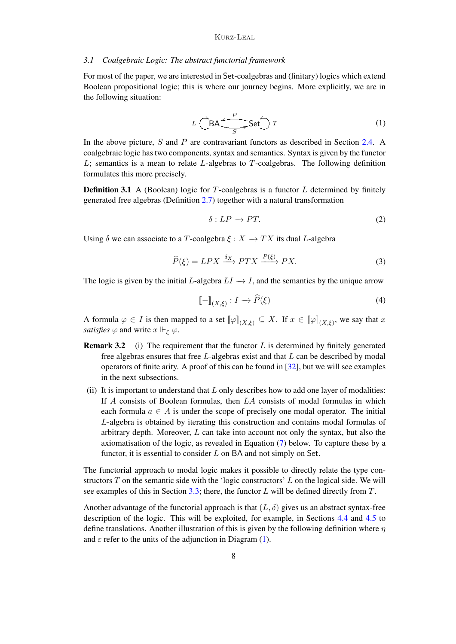#### <span id="page-7-3"></span>*3.1 Coalgebraic Logic: The abstract functorial framework*

<span id="page-7-0"></span>For most of the paper, we are interested in Set-coalgebras and (finitary) logics which extend Boolean propositional logic; this is where our journey begins. More explicitly, we are in the following situation:

$$
L\left(\bigcirc{\mathsf{BA}}\xrightarrow{P}\mathsf{Set}\right)T\tag{1}
$$

In the above picture, S and P are contravariant functors as described in Section [2.4.](#page-4-0) A coalgebraic logic has two components, syntax and semantics. Syntax is given by the functor  $L$ ; semantics is a mean to relate  $L$ -algebras to  $T$ -coalgebras. The following definition formulates this more precisely.

**Definition 3.1** A (Boolean) logic for T-coalgebras is a functor  $L$  determined by finitely generated free algebras (Definition [2.7\)](#page-5-1) together with a natural transformation

<span id="page-7-2"></span><span id="page-7-1"></span>
$$
\delta: LP \to PT. \tag{2}
$$

Using  $\delta$  we can associate to a T-coalgebra  $\xi : X \to TX$  its dual L-algebra

$$
\widehat{P}(\xi) = LPX \xrightarrow{\delta_X} PTX \xrightarrow{P(\xi)} PX.
$$
\n(3)

The logic is given by the initial L-algebra  $LI \rightarrow I$ , and the semantics by the unique arrow

$$
\llbracket - \rrbracket_{(X,\xi)} : I \to \widehat{P}(\xi) \tag{4}
$$

A formula  $\varphi \in I$  is then mapped to a set  $[\varphi]_{(X,\xi)} \subseteq X$ . If  $x \in [\varphi]_{(X,\xi)}$ , we say that x *satisfies*  $\varphi$  and write  $x \Vdash_{\varepsilon} \varphi$ .

- <span id="page-7-4"></span>**Remark 3.2** (i) The requirement that the functor  $L$  is determined by finitely generated free algebras ensures that free  $L$ -algebras exist and that  $L$  can be described by modal operators of finite arity. A proof of this can be found in [\[32\]](#page-43-17), but we will see examples in the next subsections.
- (ii) It is important to understand that  $L$  only describes how to add one layer of modalities: If A consists of Boolean formulas, then LA consists of modal formulas in which each formula  $a \in A$  is under the scope of precisely one modal operator. The initial L-algebra is obtained by iterating this construction and contains modal formulas of arbitrary depth. Moreover,  $L$  can take into account not only the syntax, but also the axiomatisation of the logic, as revealed in Equation [\(7\)](#page-9-1) below. To capture these by a functor, it is essential to consider  $L$  on BA and not simply on Set.

The functorial approach to modal logic makes it possible to directly relate the type constructors  $T$  on the semantic side with the 'logic constructors'  $L$  on the logical side. We will see examples of this in Section [3.3;](#page-11-1) there, the functor L will be defined directly from  $T$ .

Another advantage of the functorial approach is that  $(L, \delta)$  gives us an abstract syntax-free description of the logic. This will be exploited, for example, in Sections [4.4](#page-24-0) and [4.5](#page-27-1) to define translations. Another illustration of this is given by the following definition where  $\eta$ and  $\varepsilon$  refer to the units of the adjunction in Diagram [\(1\)](#page-7-0).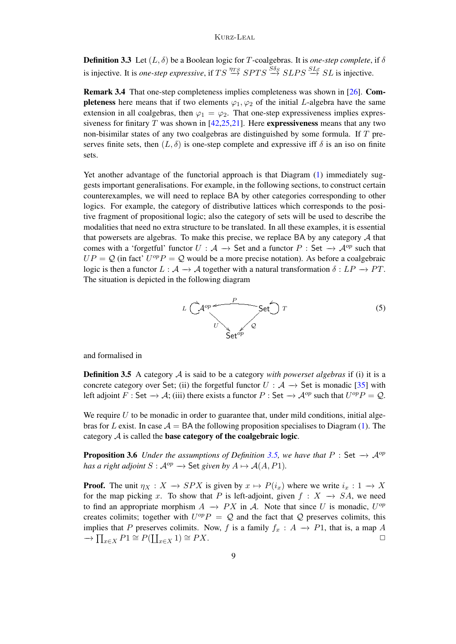**Definition 3.3** Let  $(L, \delta)$  be a Boolean logic for T-coalgebras. It is *one-step complete*, if  $\delta$ is injective. It is *one-step expressive*, if  $TS \stackrel{\eta_{TS}}{\rightarrow} SPTS \stackrel{S\delta_S}{\rightarrow} SLPS \stackrel{SLE}{\rightarrow} SL$  is injective.

<span id="page-8-3"></span>Remark 3.4 That one-step completeness implies completeness was shown in [\[26\]](#page-43-20). Com**pleteness** here means that if two elements  $\varphi_1, \varphi_2$  of the initial L-algebra have the same extension in all coalgebras, then  $\varphi_1 = \varphi_2$ . That one-step expressiveness implies expressiveness for finitary T was shown in  $[42,25,21]$  $[42,25,21]$  $[42,25,21]$ . Here **expressiveness** means that any two non-bisimilar states of any two coalgebras are distinguished by some formula. If T preserves finite sets, then  $(L, \delta)$  is one-step complete and expressive iff  $\delta$  is an iso on finite sets.

Yet another advantage of the functorial approach is that Diagram [\(1\)](#page-7-0) immediately suggests important generalisations. For example, in the following sections, to construct certain counterexamples, we will need to replace BA by other categories corresponding to other logics. For example, the category of distributive lattices which corresponds to the positive fragment of propositional logic; also the category of sets will be used to describe the modalities that need no extra structure to be translated. In all these examples, it is essential that powersets are algebras. To make this precise, we replace BA by any category  $A$  that comes with a 'forgetful' functor  $U : A \rightarrow$  Set and a functor  $P : Set \rightarrow A^{op}$  such that  $UP = Q$  (in fact'  $U^{op}P = Q$  would be a more precise notation). As before a coalgebraic logic is then a functor  $L : A \rightarrow A$  together with a natural transformation  $\delta : LP \rightarrow PT$ . The situation is depicted in the following diagram

<span id="page-8-1"></span>

and formalised in

<span id="page-8-0"></span>Definition 3.5 A category A is said to be a category *with powerset algebras* if (i) it is a concrete category over Set; (ii) the forgetful functor  $U : A \rightarrow$  Set is monadic [\[35\]](#page-43-22) with left adjoint F: Set  $\to \mathcal{A}$ ; (iii) there exists a functor P: Set  $\to \mathcal{A}^{op}$  such that  $U^{op}P = Q$ .

We require  $U$  to be monadic in order to guarantee that, under mild conditions, initial algebras for L exist. In case  $A = BA$  the following proposition specialises to Diagram [\(1\)](#page-7-0). The category  $A$  is called the base category of the coalgebraic logic.

<span id="page-8-2"></span>**Proposition 3.6** *Under the assumptions of Definition* [3.5,](#page-8-0) we have that  $P : Set \rightarrow A^{op}$ *has a right adjoint*  $S : \mathcal{A}^{op} \to \mathsf{Set}$  *given by*  $A \mapsto \mathcal{A}(A, P1)$ *.* 

**Proof.** The unit  $\eta_X : X \to SPX$  is given by  $x \mapsto P(i_x)$  where we write  $i_x : 1 \to X$ for the map picking x. To show that P is left-adjoint, given  $f : X \rightarrow SA$ , we need to find an appropriate morphism  $A \rightarrow PX$  in A. Note that since U is monadic,  $U^{op}$ creates colimits; together with  $U^{op}P = Q$  and the fact that Q preserves colimits, this implies that P preserves colimits. Now, f is a family  $f_x : A \rightarrow P1$ , that is, a map A  $\rightarrow \prod_{x \in X} P1 \cong P(\coprod_{x \in X} 1) \cong PX.$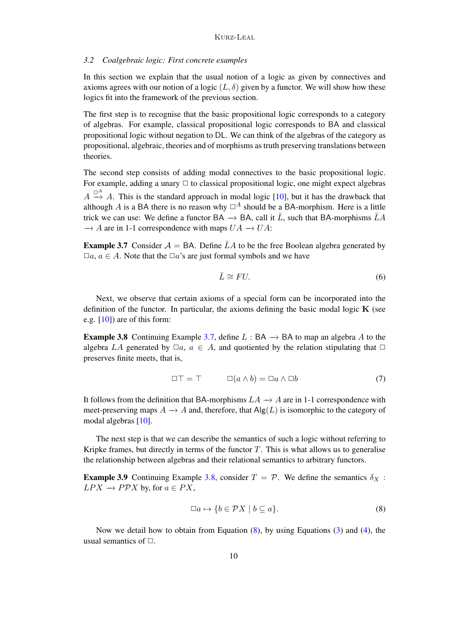### <span id="page-9-0"></span>*3.2 Coalgebraic logic: First concrete examples*

In this section we explain that the usual notion of a logic as given by connectives and axioms agrees with our notion of a logic  $(L, \delta)$  given by a functor. We will show how these logics fit into the framework of the previous section.

The first step is to recognise that the basic propositional logic corresponds to a category of algebras. For example, classical propositional logic corresponds to BA and classical propositional logic without negation to DL. We can think of the algebras of the category as propositional, algebraic, theories and of morphisms as truth preserving translations between theories.

The second step consists of adding modal connectives to the basic propositional logic. For example, adding a unary  $\Box$  to classical propositional logic, one might expect algebras  $A \stackrel{\Box^A}{\rightarrow} A$ . This is the standard approach in modal logic [\[10\]](#page-42-13), but it has the drawback that although A is a BA there is no reason why  $\Box^A$  should be a BA-morphism. Here is a little trick we can use: We define a functor BA  $\rightarrow$  BA, call it  $\overline{L}$ , such that BA-morphisms  $\overline{L}A$  $\rightarrow$  A are in 1-1 correspondence with maps  $UA \rightarrow UA$ :

<span id="page-9-2"></span>**Example 3.7** Consider  $A = BA$ . Define  $\overline{L}A$  to be the free Boolean algebra generated by  $\Box a, a \in A$ . Note that the  $\Box a$ 's are just formal symbols and we have

$$
\bar{L} \cong FU. \tag{6}
$$

Next, we observe that certain axioms of a special form can be incorporated into the definition of the functor. In particular, the axioms defining the basic modal logic  $\bf{K}$  (see e.g.  $[10]$  are of this form:

<span id="page-9-3"></span>**Example 3.8** Continuing Example [3.7,](#page-9-2) define  $L : BA \rightarrow BA$  to map an algebra A to the algebra LA generated by  $\Box a, a \in A$ , and quotiented by the relation stipulating that  $\Box$ preserves finite meets, that is,

<span id="page-9-1"></span>
$$
\Box \top = \top \qquad \Box(a \wedge b) = \Box a \wedge \Box b \tag{7}
$$

It follows from the definition that BA-morphisms  $LA \rightarrow A$  are in 1-1 correspondence with meet-preserving maps  $A \rightarrow A$  and, therefore, that  $\text{Alg}(L)$  is isomorphic to the category of modal algebras [\[10\]](#page-42-13).

The next step is that we can describe the semantics of such a logic without referring to Kripke frames, but directly in terms of the functor  $T$ . This is what allows us to generalise the relationship between algebras and their relational semantics to arbitrary functors.

<span id="page-9-5"></span>**Example 3.9** Continuing Example [3.8,](#page-9-3) consider  $T = P$ . We define the semantics  $\delta_X$ :  $LPX \to PPX$  by, for  $a \in PX$ ,

<span id="page-9-4"></span>
$$
\Box a \mapsto \{ b \in \mathcal{P}X \mid b \subseteq a \}. \tag{8}
$$

Now we detail how to obtain from Equation [\(8\)](#page-9-4), by using Equations [\(3\)](#page-7-1) and [\(4\)](#page-7-2), the usual semantics of  $\Box$ .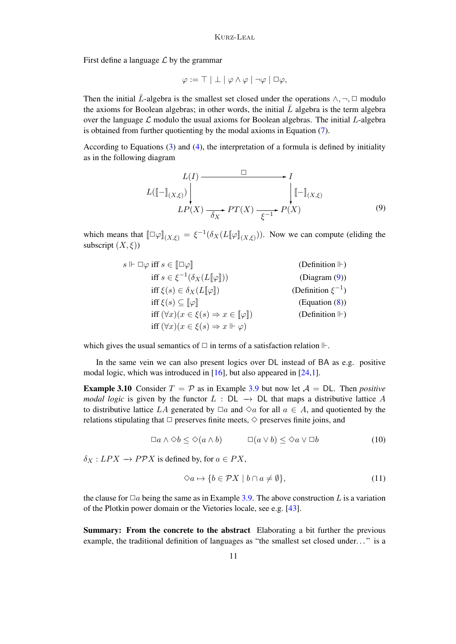First define a language  $\mathcal L$  by the grammar

$$
\varphi := \top | \perp | \varphi \wedge \varphi | \neg \varphi | \Box \varphi,
$$

Then the initial  $\bar{L}$ -algebra is the smallest set closed under the operations  $\wedge$ ,  $\neg$ ,  $\Box$  modulo the axioms for Boolean algebras; in other words, the initial  $\bar{L}$  algebra is the term algebra over the language  $\mathcal L$  modulo the usual axioms for Boolean algebras. The initial  $L$ -algebra is obtained from further quotienting by the modal axioms in Equation [\(7\)](#page-9-1).

According to Equations [\(3\)](#page-7-1) and [\(4\)](#page-7-2), the interpretation of a formula is defined by initiality as in the following diagram

<span id="page-10-0"></span>
$$
L(I) \xrightarrow{\Box} I
$$
  
\n
$$
L([\![-]\!]_{(X,\xi)}) \Big|_{LP(X) \xrightarrow{\delta_X} PT(X)} \qquad \qquad \Big| [\![-]\!]_{(X,\xi)}
$$
  
\n(9)

which means that  $[\Box \varphi]_{(X,\xi)} = \xi^{-1}(\delta_X(L[\varphi]_{(X,\xi)}))$ . Now we can compute (eliding the subscript  $(X, \xi)$ )

$$
s \Vdash \Box \varphi \text{ iff } s \in [\Box \varphi] \qquad \text{(Definition } \Vdash)
$$
\n
$$
\text{iff } s \in \xi^{-1}(\delta_X(L[\![\varphi]\!])) \qquad \text{(Diggram (9))}
$$
\n
$$
\text{iff } \xi(s) \in \delta_X(L[\![\varphi]\!]) \qquad \text{(Definition } \xi^{-1})
$$
\n
$$
\text{iff } \xi(s) \subseteq [\![\varphi]\!] \qquad \text{(Equation (8))}
$$
\n
$$
\text{iff } (\forall x)(x \in \xi(s) \Rightarrow x \in [\![\varphi]\!]) \qquad \text{(Definition } \Vdash)
$$
\n
$$
\text{iff } (\forall x)(x \in \xi(s) \Rightarrow x \Vdash \varphi)
$$

which gives the usual semantics of  $\Box$  in terms of a satisfaction relation  $\mathbb{H}$ .

In the same vein we can also present logics over DL instead of BA as e.g. positive modal logic, which was introduced in [\[16\]](#page-42-14), but also appeared in [\[24](#page-43-23)[,1\]](#page-42-15).

<span id="page-10-2"></span>**Example 3.10** Consider  $T = P$  as in Example [3.9](#page-9-5) but now let  $A = DL$ . Then *positive modal logic* is given by the functor  $L : DL \rightarrow DL$  that maps a distributive lattice A to distributive lattice LA generated by  $\Box a$  and  $\diamond a$  for all  $a \in A$ , and quotiented by the relations stipulating that  $\Box$  preserves finite meets,  $\diamond$  preserves finite joins, and

$$
\Box a \land \Diamond b \le \Diamond (a \land b) \qquad \Box (a \lor b) \le \Diamond a \lor \Box b \qquad (10)
$$

 $\delta_X: LPX \to PPX$  is defined by, for  $a \in PX$ ,

<span id="page-10-1"></span>
$$
\Diamond a \mapsto \{b \in \mathcal{P}X \mid b \cap a \neq \emptyset\},\tag{11}
$$

the clause for  $\Box a$  being the same as in Example [3.9.](#page-9-5) The above construction L is a variation of the Plotkin power domain or the Vietories locale, see e.g. [\[43\]](#page-43-16).

Summary: From the concrete to the abstract Elaborating a bit further the previous example, the traditional definition of languages as "the smallest set closed under..." is a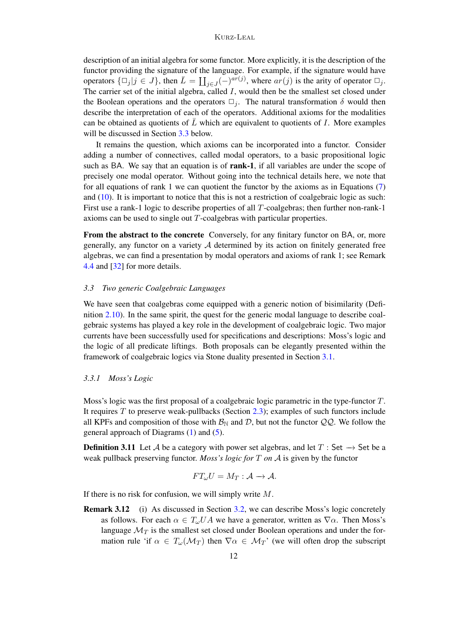### Kurz-Leal

description of an initial algebra for some functor. More explicitly, it is the description of the functor providing the signature of the language. For example, if the signature would have operators  $\{\Box_j | j \in J\}$ , then  $\overline{L} = \coprod_{j \in J} (-)^{ar(j)}$ , where  $ar(j)$  is the arity of operator  $\Box_j$ . The carrier set of the initial algebra, called  $I$ , would then be the smallest set closed under the Boolean operations and the operators  $\Box_i$ . The natural transformation  $\delta$  would then describe the interpretation of each of the operators. Additional axioms for the modalities can be obtained as quotients of  $\bar{L}$  which are equivalent to quotients of I. More examples will be discussed in Section [3.3](#page-11-1) below.

It remains the question, which axioms can be incorporated into a functor. Consider adding a number of connectives, called modal operators, to a basic propositional logic such as BA. We say that an equation is of **rank-1**, if all variables are under the scope of precisely one modal operator. Without going into the technical details here, we note that for all equations of rank 1 we can quotient the functor by the axioms as in Equations [\(7\)](#page-9-1) and [\(10\)](#page-10-1). It is important to notice that this is not a restriction of coalgebraic logic as such: First use a rank-1 logic to describe properties of all T-coalgebras; then further non-rank-1 axioms can be used to single out T-coalgebras with particular properties.

From the abstract to the concrete Conversely, for any finitary functor on BA, or, more generally, any functor on a variety  $A$  determined by its action on finitely generated free algebras, we can find a presentation by modal operators and axioms of rank 1; see Remark [4.4](#page-18-0) and [\[32\]](#page-43-17) for more details.

### <span id="page-11-1"></span>*3.3 Two generic Coalgebraic Languages*

We have seen that coalgebras come equipped with a generic notion of bisimilarity (Definition [2.10\)](#page-6-0). In the same spirit, the quest for the generic modal language to describe coalgebraic systems has played a key role in the development of coalgebraic logic. Two major currents have been successfully used for specifications and descriptions: Moss's logic and the logic of all predicate liftings. Both proposals can be elegantly presented within the framework of coalgebraic logics via Stone duality presented in Section [3.1.](#page-7-3)

### <span id="page-11-0"></span>*3.3.1 Moss's Logic*

Moss's logic was the first proposal of a coalgebraic logic parametric in the type-functor T. It requires  $T$  to preserve weak-pullbacks (Section [2.3\)](#page-3-2); examples of such functors include all KPFs and composition of those with  $\mathcal{B}_{\mathbb{N}}$  and  $\mathcal{D}$ , but not the functor  $\mathcal{QQ}$ . We follow the general approach of Diagrams [\(1\)](#page-7-0) and [\(5\)](#page-8-1).

<span id="page-11-2"></span>**Definition 3.11** Let A be a category with power set algebras, and let  $T$  : Set  $\rightarrow$  Set be a weak pullback preserving functor. *Moss's logic for* T *on* A is given by the functor

$$
FT_{\omega}U=M_T:\mathcal{A}\to\mathcal{A}.
$$

If there is no risk for confusion, we will simply write  $M$ .

<span id="page-11-3"></span>Remark 3.12 (i) As discussed in Section [3.2,](#page-9-0) we can describe Moss's logic concretely as follows. For each  $\alpha \in T_{\omega}UA$  we have a generator, written as  $\nabla \alpha$ . Then Moss's language  $\mathcal{M}_T$  is the smallest set closed under Boolean operations and under the formation rule 'if  $\alpha \in T_{\omega}(\mathcal{M}_T)$  then  $\nabla \alpha \in \mathcal{M}_T$ ' (we will often drop the subscript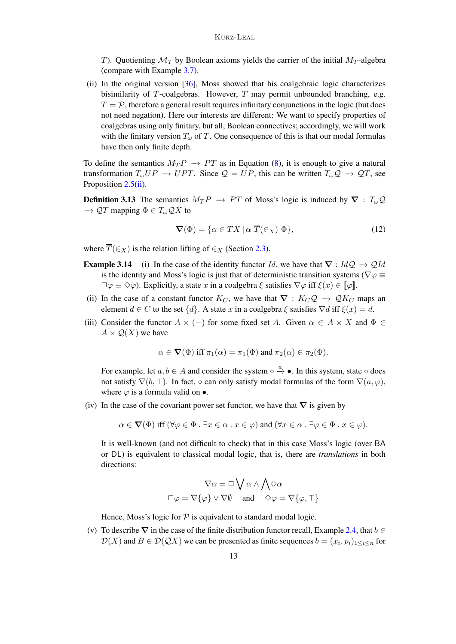T). Quotienting  $\mathcal{M}_T$  by Boolean axioms yields the carrier of the initial  $M_T$ -algebra (compare with Example [3.7\)](#page-9-2).

(ii) In the original version [\[36\]](#page-43-5), Moss showed that his coalgebraic logic characterizes bisimilarity of  $T$ -coalgebras. However,  $T$  may permit unbounded branching, e.g.  $T = P$ , therefore a general result requires infinitary conjunctions in the logic (but does not need negation). Here our interests are different: We want to specify properties of coalgebras using only finitary, but all, Boolean connectives; accordingly, we will work with the finitary version  $T_{\omega}$  of T. One consequence of this is that our modal formulas have then only finite depth.

To define the semantics  $M_T P \to PT$  as in Equation [\(8\)](#page-9-4), it is enough to give a natural transformation  $T_{\omega}UP \to UPT$ . Since  $\mathcal{Q} = UP$ , this can be written  $T_{\omega}\mathcal{Q} \to \mathcal{Q}T$ , see Proposition [2.5](#page-4-1)[\(ii\)](#page-4-2).

**Definition 3.13** The semantics  $M_T P \to PT$  of Moss's logic is induced by  $\nabla : T_{\omega} \mathcal{Q}$  $\rightarrow$  QT mapping  $\Phi \in T_{\omega}QX$  to

$$
\nabla(\Phi) = \{ \alpha \in TX \mid \alpha \overline{T}(\in_X) \Phi \},\tag{12}
$$

where  $\overline{T}(\in_{X})$  is the relation lifting of  $\in_{X}$  (Section [2.3\)](#page-3-2).

- <span id="page-12-0"></span>**Example 3.14** (i) In the case of the identity functor Id, we have that  $\nabla : IdQ \to QId$ is the identity and Moss's logic is just that of deterministic transition systems ( $\nabla \varphi \equiv$  $\Box \varphi \equiv \Diamond \varphi$ ). Explicitly, a state x in a coalgebra  $\xi$  satisfies  $\nabla \varphi$  iff  $\xi(x) \in [\varphi]$ .
- (ii) In the case of a constant functor  $K_C$ , we have that  $\nabla : K_C \mathcal{Q} \to \mathcal{Q} K_C$  maps an element  $d \in C$  to the set  $\{d\}$ . A state x in a coalgebra  $\xi$  satisfies  $\nabla d$  iff  $\xi(x) = d$ .
- (iii) Consider the functor  $A \times (-)$  for some fixed set A. Given  $\alpha \in A \times X$  and  $\Phi \in$  $A \times Q(X)$  we have

$$
\alpha \in \nabla(\Phi)
$$
 iff  $\pi_1(\alpha) = \pi_1(\Phi)$  and  $\pi_2(\alpha) \in \pi_2(\Phi)$ .

For example, let  $a, b \in A$  and consider the system  $\circ \stackrel{a}{\rightarrow} \bullet$ . In this system, state  $\circ$  does not satisfy  $\nabla(b, \top)$ . In fact,  $\circ$  can only satisfy modal formulas of the form  $\nabla(a, \varphi)$ , where  $\varphi$  is a formula valid on  $\bullet$ .

(iv) In the case of the covariant power set functor, we have that  $\nabla$  is given by

 $\alpha \in \nabla(\Phi)$  iff  $(\forall \varphi \in \Phi : \exists x \in \alpha : x \in \varphi)$  and  $(\forall x \in \alpha : \exists \varphi \in \Phi : x \in \varphi)$ .

It is well-known (and not difficult to check) that in this case Moss's logic (over BA or DL) is equivalent to classical modal logic, that is, there are *translations* in both directions:

$$
\nabla \alpha = \Box \bigvee \alpha \wedge \bigwedge \Diamond \alpha
$$

$$
\Box \varphi = \nabla \{ \varphi \} \vee \nabla \emptyset \quad \text{and} \quad \Diamond \varphi = \nabla \{ \varphi, \top \}
$$

Hence, Moss's logic for  $P$  is equivalent to standard modal logic.

(v) To describe  $\nabla$  in the case of the finite distribution functor recall, Example [2.4,](#page-3-3) that  $b \in$  $\mathcal{D}(X)$  and  $B \in \mathcal{D}(\mathcal{Q}X)$  we can be presented as finite sequences  $b = (x_i, p_i)_{1 \leq i \leq n}$  for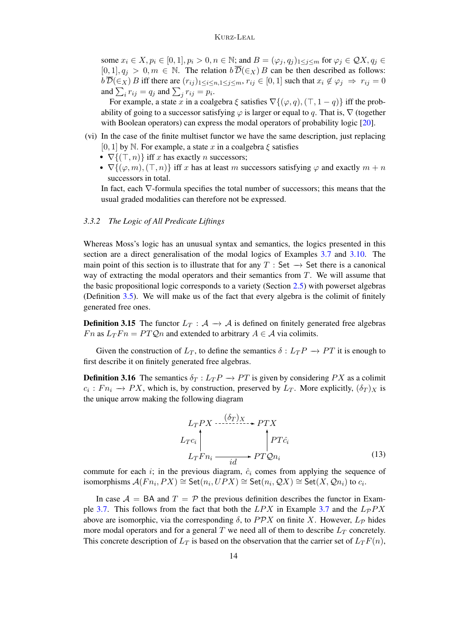some  $x_i \in X, p_i \in [0, 1], p_i > 0, n \in \mathbb{N}$ ; and  $B = (\varphi_j, q_j)_{1 \leq j \leq m}$  for  $\varphi_j \in \mathcal{QX}, q_j \in \mathcal{QY}$  $[0, 1], q_j > 0, m \in \mathbb{N}$ . The relation  $b\overline{\mathcal{D}}(\epsilon_X)B$  can be then described as follows:  $b\overline{\mathcal{D}}(\epsilon_X)$  B iff there are  $(r_{ij})_{1\leq i\leq n,1\leq j\leq m}$ ,  $r_{ij}\in[0,1]$  such that  $x_i\notin\varphi_j \Rightarrow r_{ij}=0$ and  $\sum_i r_{ij} = q_j$  and  $\sum_j r_{ij} = p_i$ .

For example, a state x in a coalgebra  $\xi$  satisfies  $\nabla$ { $(\varphi, q)$ ,  $(\top, 1 - q)$ } iff the probability of going to a successor satisfying  $\varphi$  is larger or equal to q. That is,  $\nabla$  (together with Boolean operators) can express the modal operators of probability logic [\[20\]](#page-43-24).

- (vi) In the case of the finite multiset functor we have the same description, just replacing [0, 1] by N. For example, a state x in a coalgebra  $\xi$  satisfies
	- $\nabla$ { $(\top, n)$ } iff x has exactly n successors;
	- $\nabla$ { $(\varphi, m), (\top, n)$ } iff x has at least m successors satisfying  $\varphi$  and exactly  $m + n$ successors in total.

In fact, each ∇-formula specifies the total number of successors; this means that the usual graded modalities can therefore not be expressed.

## <span id="page-13-0"></span>*3.3.2 The Logic of All Predicate Liftings*

Whereas Moss's logic has an unusual syntax and semantics, the logics presented in this section are a direct generalisation of the modal logics of Examples [3.7](#page-9-2) and [3.10.](#page-10-2) The main point of this section is to illustrate that for any T : Set  $\rightarrow$  Set there is a canonical way of extracting the modal operators and their semantics from T. We will assume that the basic propositional logic corresponds to a variety (Section [2.5\)](#page-5-2) with powerset algebras (Definition [3.5\)](#page-8-0). We will make us of the fact that every algebra is the colimit of finitely generated free ones.

<span id="page-13-1"></span>**Definition 3.15** The functor  $L_T : A \rightarrow A$  is defined on finitely generated free algebras Fn as  $L_TFn = PTQn$  and extended to arbitrary  $A \in \mathcal{A}$  via colimits.

Given the construction of  $L_T$ , to define the semantics  $\delta: L_T P \to PT$  it is enough to first describe it on finitely generated free algebras.

<span id="page-13-2"></span>**Definition 3.16** The semantics  $\delta_T : L_T P \to PT$  is given by considering PX as a colimit  $c_i : Fn_i \rightarrow PX$ , which is, by construction, preserved by  $L_T$ . More explicitly,  $(\delta_T)_X$  is the unique arrow making the following diagram

$$
L_T PX \xrightarrow{\left(\delta_T\right)X} PTX
$$
  
\n
$$
L_Tc_i \qquad \qquad PT\hat{c}_i
$$
  
\n
$$
L_TFn_i \xrightarrow{i d} PT\hat{c}_n
$$
 (13)

commute for each i; in the previous diagram,  $\hat{c}_i$  comes from applying the sequence of isomorphisms  $\mathcal{A}(Fn_i, PX) \cong \mathsf{Set}(n_i, UPX) \cong \mathsf{Set}(n_i, QX) \cong \mathsf{Set}(X, Qn_i)$  to  $c_i$ .

In case  $A = BA$  and  $T = P$  the previous definition describes the functor in Exam-ple [3.7.](#page-9-2) This follows from the fact that both the  $LPX$  in Example [3.7](#page-9-2) and the  $LpPX$ above are isomorphic, via the corresponding  $\delta$ , to PPX on finite X. However,  $L_{\mathcal{P}}$  hides more modal operators and for a general  $T$  we need all of them to describe  $L_T$  concretely. This concrete description of  $L_T$  is based on the observation that the carrier set of  $L_TF(n)$ ,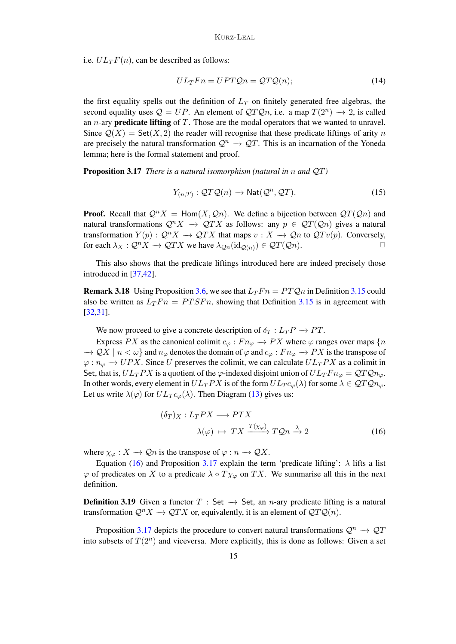i.e.  $UL_TF(n)$ , can be described as follows:

$$
UL_TFn = UPTQn = QTQ(n); \qquad (14)
$$

the first equality spells out the definition of  $L_T$  on finitely generated free algebras, the second equality uses  $Q = UP$ . An element of  $QTQn$ , i.e. a map  $T(2^n) \rightarrow 2$ , is called an *n*-ary **predicate lifting** of  $T$ . Those are the modal operators that we wanted to unravel. Since  $Q(X)$  = Set(X, 2) the reader will recognise that these predicate liftings of arity n are precisely the natural transformation  $\mathcal{Q}^n \to \mathcal{Q}T$ . This is an incarnation of the Yoneda lemma; here is the formal statement and proof.

<span id="page-14-1"></span>Proposition 3.17 *There is a natural isomorphism (natural in* n *and* QT*)*

<span id="page-14-2"></span>
$$
Y_{(n,T)}:QT\mathcal{Q}(n) \to \text{Nat}(\mathcal{Q}^n,\mathcal{Q}T). \tag{15}
$$

**Proof.** Recall that  $Q^n X = \text{Hom}(X, Q_n)$ . We define a bijection between  $QT(Q_n)$  and natural transformations  $Q^n X \to QTX$  as follows: any  $p \in QT(Qn)$  gives a natural transformation  $Y(p)$ :  $Q^n X \to QTX$  that maps  $v : X \to Qn$  to  $QTv(p)$ . Conversely, for each  $\lambda_X : \mathcal{Q}^n X \to \mathcal{Q}^T X$  we have  $\lambda_{\mathcal{Q}_n}(\mathrm{id}_{\mathcal{Q}(n)}) \in \mathcal{Q}^T(\mathcal{Q}_n)$ .

This also shows that the predicate liftings introduced here are indeed precisely those introduced in [\[37](#page-43-10)[,42\]](#page-43-11).

**Remark 3.18** Using Proposition [3.6,](#page-8-2) we see that  $L_TFn = PTQn$  in Definition [3.15](#page-13-1) could also be written as  $L_TFn = PTSFn$ , showing that Definition [3.15](#page-13-1) is in agreement with [\[32](#page-43-17)[,31\]](#page-43-25).

We now proceed to give a concrete description of  $\delta_T : L_T P \to PT$ .

Express PX as the canonical colimit  $c_{\varphi}: F_{n_{\varphi}} \to PX$  where  $\varphi$  ranges over maps  $\{n\}$  $\to \mathcal{Q}X \mid n < \omega$ } and  $n_{\varphi}$  denotes the domain of  $\varphi$  and  $c_{\varphi}: F_{n_{\varphi}} \to PX$  is the transpose of  $\varphi : n_{\varphi} \to UPX$ . Since U preserves the colimit, we can calculate  $UL_TPX$  as a colimit in Set, that is,  $UL_TPX$  is a quotient of the  $\varphi$ -indexed disjoint union of  $UL_TFn_{\varphi} = QTQn_{\varphi}$ . In other words, every element in  $UL_TPX$  is of the form  $UL_Tc_{\varphi}(\lambda)$  for some  $\lambda \in QTQn_{\varphi}$ . Let us write  $\lambda(\varphi)$  for  $UL_T c_{\varphi}(\lambda)$ . Then Diagram [\(13\)](#page-13-2) gives us:

<span id="page-14-0"></span>
$$
(\delta_T)_X: L_TPX \longrightarrow PTX
$$
  

$$
\lambda(\varphi) \mapsto TX \xrightarrow{T(\chi_{\varphi})} TQn \xrightarrow{\lambda} 2
$$
 (16)

where  $\chi_{\varphi}: X \to \mathcal{Q}n$  is the transpose of  $\varphi: n \to \mathcal{Q}X$ .

Equation [\(16\)](#page-14-0) and Proposition [3.17](#page-14-1) explain the term 'predicate lifting':  $\lambda$  lifts a list  $\varphi$  of predicates on X to a predicate  $\lambda \circ T \chi_{\varphi}$  on TX. We summarise all this in the next definition.

**Definition 3.19** Given a functor  $T : Set \rightarrow Set$ , an *n*-ary predicate lifting is a natural transformation  $Q^nX \to QTX$  or, equivalently, it is an element of  $QTQ(n)$ .

Proposition [3.17](#page-14-1) depicts the procedure to convert natural transformations  $\mathcal{Q}^n \to \mathcal{Q}T$ into subsets of  $T(2^n)$  and viceversa. More explicitly, this is done as follows: Given a set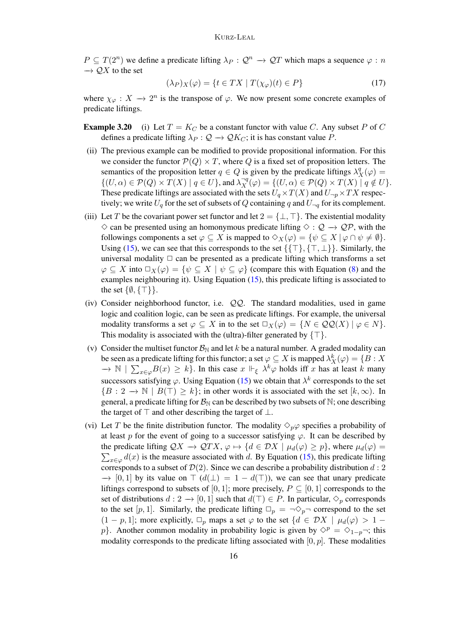$P \subseteq T(2^n)$  we define a predicate lifting  $\lambda_P : Q^n \to QT$  which maps a sequence  $\varphi : n$  $\rightarrow$  QX to the set

<span id="page-15-1"></span>
$$
(\lambda_P)_{X}(\varphi) = \{ t \in TX \mid T(\chi_{\varphi})(t) \in P \}
$$
\n(17)

where  $\chi_{\varphi}: X \to 2^n$  is the transpose of  $\varphi$ . We now present some concrete examples of predicate liftings.

- <span id="page-15-0"></span>**Example 3.20** (i) Let  $T = K_C$  be a constant functor with value C. Any subset P of C defines a predicate lifting  $\lambda_P : \mathcal{Q} \to \mathcal{Q}K_C$ ; it is has constant value P.
- (ii) The previous example can be modified to provide propositional information. For this we consider the functor  $\mathcal{P}(Q) \times T$ , where Q is a fixed set of proposition letters. The semantics of the proposition letter  $q \in Q$  is given by the predicate liftings  $\lambda_X^q(\varphi) =$  $\{(U, \alpha) \in \mathcal{P}(Q) \times T(X) \mid q \in U\}$ , and  $\lambda_X^{-q}(\varphi) = \{(U, \alpha) \in \mathcal{P}(Q) \times T(X) \mid q \notin U\}$ . These predicate liftings are associated with the sets  $U_q \times T(X)$  and  $U_{\neg p} \times TX$  respectively; we write  $U_q$  for the set of subsets of Q containing q and  $U_{\neg q}$  for its complement.
- (iii) Let T be the covariant power set functor and let  $2 = \{\perp, \top\}$ . The existential modality  $\diamond$  can be presented using an homonymous predicate lifting  $\diamond$  :  $\mathcal{Q} \to \mathcal{QP}$ , with the followings components a set  $\varphi \subseteq X$  is mapped to  $\Diamond_X(\varphi) = \{ \psi \subseteq X \mid \varphi \cap \psi \neq \emptyset \}.$ Using [\(15\)](#page-14-2), we can see that this corresponds to the set  $\{\{\top\},\{\top,\bot\}\}\$ . Similarly, the universal modality  $\Box$  can be presented as a predicate lifting which transforms a set  $\varphi \subseteq X$  into  $\Box_X(\varphi) = \{ \psi \subseteq X \mid \psi \subseteq \varphi \}$  (compare this with Equation [\(8\)](#page-9-4) and the examples neighbouring it). Using Equation [\(15\)](#page-14-2), this predicate lifting is associated to the set  $\{\emptyset, \{\top\}\}.$
- (iv) Consider neighborhood functor, i.e.  $QQ$ . The standard modalities, used in game logic and coalition logic, can be seen as predicate liftings. For example, the universal modality transforms a set  $\varphi \subseteq X$  in to the set  $\Box_X(\varphi) = \{N \in \mathcal{QQ}(X) \mid \varphi \in N\}.$ This modality is associated with the (ultra)-filter generated by  $\{\top\}$ .
- (v) Consider the multiset functor  $\mathcal{B}_{\mathbb{N}}$  and let k be a natural number. A graded modality can be seen as a predicate lifting for this functor; a set  $\varphi \subseteq X$  is mapped  $\lambda_X^k(\varphi) = \{B : X$  $\to \mathbb{N}$  |  $\sum_{x \in \varphi} B(x) \geq k$ . In this case  $x \Vdash_{\xi} \lambda^k \varphi$  holds iff x has at least k many successors satisfying  $\varphi$ . Using Equation [\(15\)](#page-14-2) we obtain that  $\lambda^k$  corresponds to the set  ${B : 2 \rightarrow \mathbb{N} \mid B(\top) \geq k}$ ; in other words it is associated with the set  $[k, \infty)$ . In general, a predicate lifting for  $\mathcal{B}_{\mathbb{N}}$  can be described by two subsets of  $\mathbb{N}$ ; one describing the target of  $\top$  and other describing the target of  $\bot$ .
- (vi) Let T be the finite distribution functor. The modality  $\Diamond_p \varphi$  specifies a probability of at least p for the event of going to a successor satisfying  $\varphi$ . It can be described by the predicate lifting  $QX \to QTX$ ,  $\varphi \mapsto \{d \in \mathcal{D}X \mid \mu_d(\varphi) \geq p\}$ , where  $\mu_d(\varphi) =$  $\sum_{x \in \varphi} d(x)$  is the measure associated with d. By Equation [\(15\)](#page-14-2), this predicate lifting corresponds to a subset of  $\mathcal{D}(2)$ . Since we can describe a probability distribution  $d:2$  $\rightarrow$  [0, 1] by its value on  $\top$  ( $d(\bot) = 1 - d(\top)$ ), we can see that unary predicate liftings correspond to subsets of [0, 1]; more precisely,  $P \subseteq [0, 1]$  corresponds to the set of distributions  $d: 2 \to [0, 1]$  such that  $d(\top) \in P$ . In particular,  $\diamond_p$  corresponds to the set [p, 1]. Similarly, the predicate lifting  $\Box_p = \neg \Diamond_p \neg$  correspond to the set  $(1 - p, 1]$ ; more explicitly,  $\Box_p$  maps a set  $\varphi$  to the set  $\{d \in DX \mid \mu_d(\varphi) > 1 - \varphi\}$ p}. Another common modality in probability logic is given by  $\diamond^{p} = \diamond_{1-p} \neg$ ; this modality corresponds to the predicate lifting associated with  $[0, p]$ . These modalities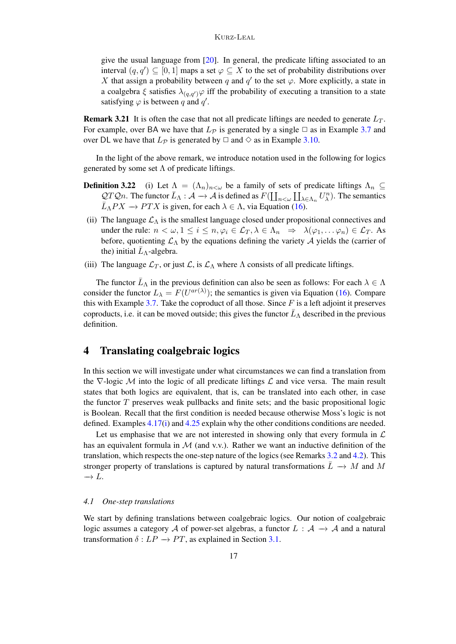give the usual language from [\[20\]](#page-43-24). In general, the predicate lifting associated to an interval  $(q, q') \subseteq [0, 1]$  maps a set  $\varphi \subseteq X$  to the set of probability distributions over X that assign a probability between q and  $q'$  to the set  $\varphi$ . More explicitly, a state in a coalgebra  $\xi$  satisfies  $\lambda_{(q,q')}\varphi$  iff the probability of executing a transition to a state satisfying  $\varphi$  is between q and q'.

**Remark 3.21** It is often the case that not all predicate liftings are needed to generate  $L_T$ . For example, over BA we have that  $L_{\mathcal{P}}$  is generated by a single  $\Box$  as in Example [3.7](#page-9-2) and over DL we have that  $L_{\mathcal{P}}$  is generated by  $\Box$  and  $\diamond$  as in Example [3.10.](#page-10-2)

In the light of the above remark, we introduce notation used in the following for logics generated by some set  $\Lambda$  of predicate liftings.

- <span id="page-16-1"></span>**Definition 3.22** (i) Let  $\Lambda = (\Lambda_n)_{n \leq \omega}$  be a family of sets of predicate liftings  $\Lambda_n \subseteq$  $\mathcal{Q}T\mathcal{Q}n$ . The functor  $\bar{L}_{\Lambda}: \mathcal{A} \to \mathcal{A}$  is defined as  $F(\coprod_{n<\omega} \coprod_{\lambda\in\Lambda_n} U_{\lambda}^n)$ . The semantics  $\overline{L}_{\Lambda}PX \to PTX$  is given, for each  $\lambda \in \Lambda$ , via Equation [\(16\)](#page-14-0).
- (ii) The language  $\mathcal{L}_{\Lambda}$  is the smallest language closed under propositional connectives and under the rule:  $n < \omega, 1 \leq i \leq n, \varphi_i \in \mathcal{L}_T, \lambda \in \Lambda_n \Rightarrow \lambda(\varphi_1, \ldots \varphi_n) \in \mathcal{L}_T$ . As before, quotienting  $\mathcal{L}_{\Lambda}$  by the equations defining the variety A yields the (carrier of the) initial  $\bar{L}_{\Lambda}$ -algebra.
- (iii) The language  $\mathcal{L}_T$ , or just  $\mathcal{L}$ , is  $\mathcal{L}_\Lambda$  where  $\Lambda$  consists of all predicate liftings.

The functor  $\bar{L}_{\Lambda}$  in the previous definition can also be seen as follows: For each  $\lambda \in \Lambda$ consider the functor  $L_{\lambda} = F(U^{ar(\lambda)})$ ; the semantics is given via Equation [\(16\)](#page-14-0). Compare this with Example [3.7.](#page-9-2) Take the coproduct of all those. Since  $F$  is a left adjoint it preserves coproducts, i.e. it can be moved outside; this gives the functor  $\bar{L}_{\Lambda}$  described in the previous definition.

# <span id="page-16-0"></span>4 Translating coalgebraic logics

In this section we will investigate under what circumstances we can find a translation from the  $\nabla$ -logic M into the logic of all predicate liftings  $\mathcal L$  and vice versa. The main result states that both logics are equivalent, that is, can be translated into each other, in case the functor  $T$  preserves weak pullbacks and finite sets; and the basic propositional logic is Boolean. Recall that the first condition is needed because otherwise Moss's logic is not defined. Examples [4.17\(i\)](#page-22-0) and [4.25](#page-26-0) explain why the other conditions conditions are needed.

Let us emphasise that we are not interested in showing only that every formula in  $\mathcal L$ has an equivalent formula in  $\mathcal M$  (and v.v.). Rather we want an inductive definition of the translation, which respects the one-step nature of the logics (see Remarks [3.2](#page-7-4) and [4.2\)](#page-17-0). This stronger property of translations is captured by natural transformations  $\overline{L} \rightarrow M$  and M  $\rightarrow L.$ 

### *4.1 One-step translations*

<span id="page-16-2"></span>We start by defining translations between coalgebraic logics. Our notion of coalgebraic logic assumes a category A of power-set algebras, a functor  $L : A \rightarrow A$  and a natural transformation  $\delta: LP \to PT$ , as explained in Section [3.1.](#page-7-3)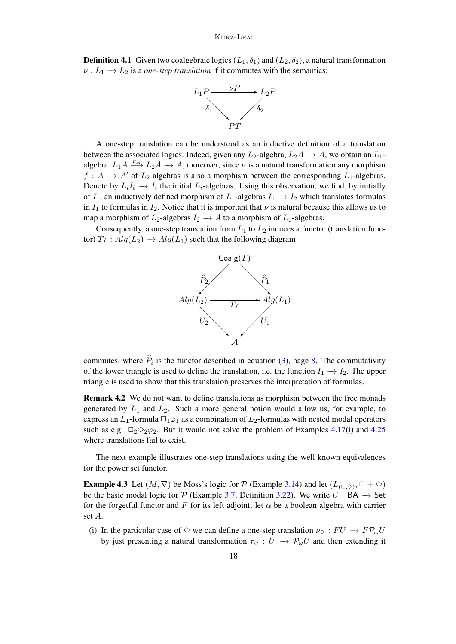**Definition 4.1** Given two coalgebraic logics  $(L_1, \delta_1)$  and  $(L_2, \delta_2)$ , a natural transformation  $\nu : L_1 \to L_2$  is a *one-step translation* if it commutes with the semantics:



A one-step translation can be understood as an inductive definition of a translation between the associated logics. Indeed, given any  $L_2$ -algebra,  $L_2A \rightarrow A$ , we obtain an  $L_1$ algebra  $L_1 A \xrightarrow{\nu_A} L_2 A \rightarrow A$ ; moreover, since  $\nu$  is a natural transformation any morphism  $f: A \rightarrow A'$  of  $L_2$  algebras is also a morphism between the corresponding  $L_1$ -algebras. Denote by  $L_iI_i \to I_i$  the initial  $L_i$ -algebras. Using this observation, we find, by initially of  $I_1$ , an inductively defined morphism of  $L_1$ -algebras  $I_1 \rightarrow I_2$  which translates formulas in  $I_1$  to formulas in  $I_2$ . Notice that it is important that  $\nu$  is natural because this allows us to map a morphism of  $L_2$ -algebras  $I_2 \to A$  to a morphism of  $L_1$ -algebras.

Consequently, a one-step translation from  $L_1$  to  $L_2$  induces a functor (translation functor)  $Tr : Alg(L_2) \rightarrow Alg(L_1)$  such that the following diagram



commutes, where  $P_i$  is the functor described in equation [\(3\)](#page-7-1), page [8.](#page-7-1) The commutativity of the lower triangle is used to define the translation, i.e. the function  $I_1 \rightarrow I_2$ . The upper triangle is used to show that this translation preserves the interpretation of formulas.

<span id="page-17-0"></span>Remark 4.2 We do not want to define translations as morphism between the free monads generated by  $L_1$  and  $L_2$ . Such a more general notion would allow us, for example, to express an  $L_1$ -formula  $\Box_1\varphi_1$  as a combination of  $L_2$ -formulas with nested modal operators such as e.g.  $\Box_2 \Diamond_2 \varphi_2$ . But it would not solve the problem of Examples [4.17\(i\)](#page-22-0) and [4.25](#page-26-0) where translations fail to exist.

The next example illustrates one-step translations using the well known equivalences for the power set functor.

**Example 4.3** Let  $(M, \nabla)$  be Moss's logic for  $P$  (Example [3.14\)](#page-12-0) and let  $(L_{(\Box, \Diamond)}, \Box + \Diamond)$ be the basic modal logic for P (Example [3.7,](#page-9-2) Definition [3.22\)](#page-16-1). We write  $U : BA \rightarrow Set$ for the forgetful functor and F for its left adjoint; let  $\alpha$  be a boolean algebra with carrier set A.

(i) In the particular case of  $\Diamond$  we can define a one-step translation  $\nu_{\Diamond}: FU \to FP_{\omega}U$ by just presenting a natural transformation  $\tau_{\diamond} : U \to \mathcal{P}_{\omega}U$  and then extending it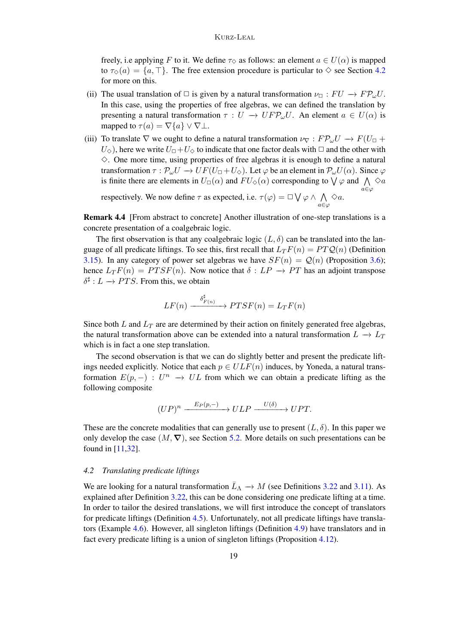freely, i.e applying F to it. We define  $\tau_{\diamond}$  as follows: an element  $a \in U(\alpha)$  is mapped to  $\tau_{\diamond}(a) = \{a, \tau\}$ . The free extension procedure is particular to  $\diamond$  see Section [4.2](#page-18-1) for more on this.

- (ii) The usual translation of  $\Box$  is given by a natural transformation  $\nu_{\Box} : FU \rightarrow FP_{\omega}U$ . In this case, using the properties of free algebras, we can defined the translation by presenting a natural transformation  $\tau : U \to U F P_{\omega} U$ . An element  $a \in U(\alpha)$  is mapped to  $\tau(a) = \nabla\{a\} \vee \nabla\bot$ .
- (iii) To translate  $\nabla$  we ought to define a natural transformation  $\nu_{\nabla}:F\mathcal{P}_{\omega}U \to F(U_{\square} +$  $U_{\diamond}$ ), here we write  $U_{\square}+U_{\diamond}$  to indicate that one factor deals with  $\square$  and the other with  $\Diamond$ . One more time, using properties of free algebras it is enough to define a natural transformation  $\tau : \mathcal{P}_{\omega}U \to UF(U_{\Box}+U_{\Diamond})$ . Let  $\varphi$  be an element in  $\mathcal{P}_{\omega}U(\alpha)$ . Since  $\varphi$ is finite there are elements in  $U_{\Box}(\alpha)$  and  $FU_{\Diamond}(\alpha)$  corresponding to  $\bigvee \varphi$  and  $\bigwedge \Diamond \alpha$ a∈ϕ

respectively. We now define  $\tau$  as expected, i.e.  $\tau(\varphi) = \Box \bigvee \varphi \wedge \bigwedge$ a∈ϕ  $\diamond a$ .

<span id="page-18-0"></span>Remark 4.4 [From abstract to concrete] Another illustration of one-step translations is a concrete presentation of a coalgebraic logic.

The first observation is that any coalgebraic logic  $(L, \delta)$  can be translated into the language of all predicate liftings. To see this, first recall that  $L_T F(n) = PTQ(n)$  (Definition [3.15\)](#page-13-1). In any category of power set algebras we have  $SF(n) = \mathcal{Q}(n)$  (Proposition [3.6\)](#page-8-2); hence  $L_T F(n) = P T S F(n)$ . Now notice that  $\delta : L P \rightarrow PT$  has an adjoint transpose  $\delta^{\sharp}: L \to PTS$ . From this, we obtain

$$
LF(n) \xrightarrow{\delta_{F(n)}^{\sharp}} PTSF(n) = L_T F(n)
$$

Since both  $L$  and  $L_T$  are are determined by their action on finitely generated free algebras, the natural transformation above can be extended into a natural transformation  $L \rightarrow L_T$ which is in fact a one step translation.

The second observation is that we can do slightly better and present the predicate liftings needed explicitly. Notice that each  $p \in ULF(n)$  induces, by Yoneda, a natural transformation  $E(p, -)$ :  $U^n \rightarrow UL$  from which we can obtain a predicate lifting as the following composite

$$
(UP)^n \xrightarrow{E_P(p,-)} ULP \xrightarrow{U(\delta)} UPT.
$$

These are the concrete modalities that can generally use to present  $(L, \delta)$ . In this paper we only develop the case  $(M, \nabla)$ , see Section [5.2.](#page-31-0) More details on such presentations can be found in [\[11,](#page-42-11)[32\]](#page-43-17).

#### <span id="page-18-1"></span>*4.2 Translating predicate liftings*

<span id="page-18-2"></span>We are looking for a natural transformation  $\bar{L}_{\Lambda} \to M$  (see Definitions [3.22](#page-16-1) and [3.11\)](#page-11-2). As explained after Definition [3.22,](#page-16-1) this can be done considering one predicate lifting at a time. In order to tailor the desired translations, we will first introduce the concept of translators for predicate liftings (Definition [4.5\)](#page-18-2). Unfortunately, not all predicate liftings have translators (Example [4.6\)](#page-19-0). However, all singleton liftings (Definition [4.9\)](#page-20-0) have translators and in fact every predicate lifting is a union of singleton liftings (Proposition [4.12\)](#page-21-0).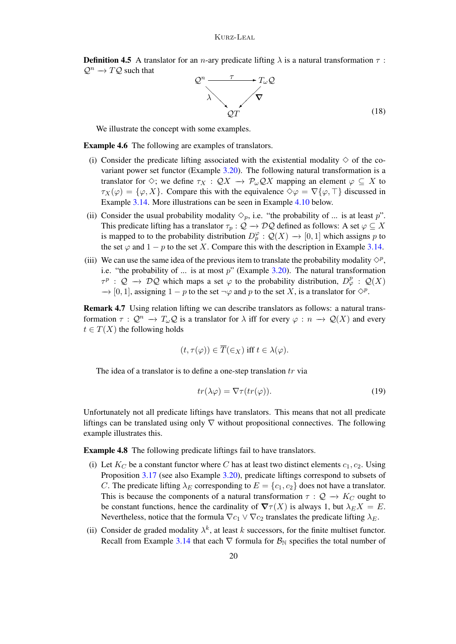**Definition 4.5** A translator for an *n*-ary predicate lifting  $\lambda$  is a natural transformation  $\tau$ :  $\mathcal{Q}^n \to T\mathcal{Q}$  such that



(18)

We illustrate the concept with some examples.

<span id="page-19-0"></span>Example 4.6 The following are examples of translators.

- (i) Consider the predicate lifting associated with the existential modality  $\diamond$  of the covariant power set functor (Example [3.20\)](#page-15-0). The following natural transformation is a translator for  $\Diamond$ ; we define  $\tau_X : \mathcal{Q}X \to \mathcal{P}_\omega \mathcal{Q}X$  mapping an element  $\varphi \subseteq X$  to  $\tau_X(\varphi) = {\varphi, X}$ . Compare this with the equivalence  $\diamond \varphi = \nabla {\varphi, \top}$  discussed in Example [3.14.](#page-12-0) More illustrations can be seen in Example [4.10](#page-20-1) below.
- (ii) Consider the usual probability modality  $\Diamond_p$ , i.e. "the probability of ... is at least p". This predicate lifting has a translator  $\tau_p : \mathcal{Q} \to \mathcal{D}\mathcal{Q}$  defined as follows: A set  $\varphi \subseteq X$ is mapped to to the probability distribution  $D_p^{\varphi} : \mathcal{Q}(X) \to [0,1]$  which assigns p to the set  $\varphi$  and  $1 - p$  to the set X. Compare this with the description in Example [3.14.](#page-12-0)
- (iii) We can use the same idea of the previous item to translate the probability modality  $\Diamond^p$ , i.e. "the probability of ... is at most  $p$ " (Example [3.20\)](#page-15-0). The natural transformation  $\tau^p$  :  $\mathcal{Q} \to \mathcal{D}\mathcal{Q}$  which maps a set  $\varphi$  to the probability distribution,  $D^p_{\varphi}$  :  $\mathcal{Q}(X)$  $\rightarrow$  [0, 1], assigning  $1 - p$  to the set  $\neg \varphi$  and p to the set X, is a translator for  $\Diamond^p$ .

Remark 4.7 Using relation lifting we can describe translators as follows: a natural transformation  $\tau : \mathcal{Q}^n \to T_\omega \mathcal{Q}$  is a translator for  $\lambda$  iff for every  $\varphi : n \to \mathcal{Q}(X)$  and every  $t \in T(X)$  the following holds

$$
(t,\tau(\varphi))\in\overline{T}(\in_X)\text{ iff }t\in\lambda(\varphi).
$$

The idea of a translator is to define a one-step translation  $tr$  via

<span id="page-19-1"></span>
$$
tr(\lambda \varphi) = \nabla \tau(tr(\varphi)).
$$
\n(19)

Unfortunately not all predicate liftings have translators. This means that not all predicate liftings can be translated using only  $\nabla$  without propositional connectives. The following example illustrates this.

<span id="page-19-2"></span>Example 4.8 The following predicate liftings fail to have translators.

- (i) Let  $K_C$  be a constant functor where C has at least two distinct elements  $c_1, c_2$ . Using Proposition [3.17](#page-14-1) (see also Example [3.20\)](#page-15-0), predicate liftings correspond to subsets of C. The predicate lifting  $\lambda_E$  corresponding to  $E = \{c_1, c_2\}$  does not have a translator. This is because the components of a natural transformation  $\tau : \mathcal{Q} \to K_C$  ought to be constant functions, hence the cardinality of  $\nabla \tau(X)$  is always 1, but  $\lambda_E X = E$ . Nevertheless, notice that the formula  $\nabla c_1 \vee \nabla c_2$  translates the predicate lifting  $\lambda_E$ .
- (ii) Consider de graded modality  $\lambda^k$ , at least k successors, for the finite multiset functor. Recall from Example [3.14](#page-12-0) that each  $\nabla$  formula for  $\mathcal{B}_{\mathbb{N}}$  specifies the total number of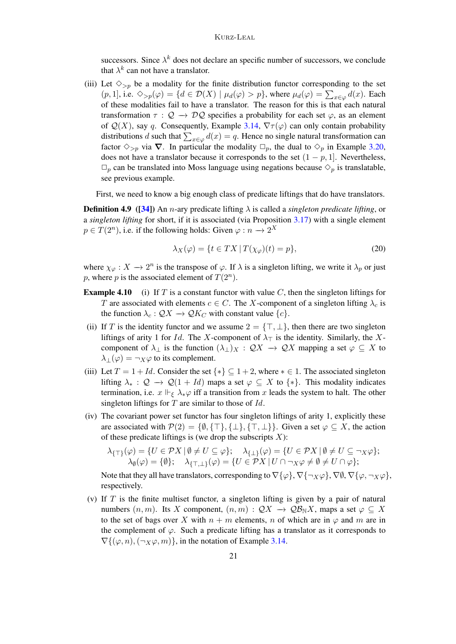successors. Since  $\lambda^k$  does not declare an specific number of successors, we conclude that  $\lambda^k$  can not have a translator.

(iii) Let  $\Diamond_{>p}$  be a modality for the finite distribution functor corresponding to the set  $(p, 1]$ , i.e.  $\Diamond_{>p}(\varphi) = \{d \in \mathcal{D}(X) \mid \mu_d(\varphi) > p\}$ , where  $\mu_d(\varphi) = \sum_{x \in \varphi} d(x)$ . Each of these modalities fail to have a translator. The reason for this is that each natural transformation  $\tau : \mathcal{Q} \to \mathcal{D}\mathcal{Q}$  specifies a probability for each set  $\varphi$ , as an element of  $\mathcal{Q}(X)$ , say q. Consequently, Example [3.14,](#page-12-0)  $\nabla \tau(\varphi)$  can only contain probability distributions d such that  $\sum_{x \in \varphi} d(x) = q$ . Hence no single natural transformation can factor  $\Diamond_{>p}$  via  $\nabla$ . In particular the modality  $\Box_p$ , the dual to  $\Diamond_p$  in Example [3.20,](#page-15-0) does not have a translator because it corresponds to the set  $(1 - p, 1]$ . Nevertheless,  $\Box_p$  can be translated into Moss language using negations because  $\diamond_p$  is translatable, see previous example.

First, we need to know a big enough class of predicate liftings that do have translators.

<span id="page-20-0"></span>**Definition 4.9** ([\[34\]](#page-43-0)) An *n*-ary predicate lifting  $\lambda$  is called a *singleton predicate lifting*, or a *singleton lifting* for short, if it is associated (via Proposition [3.17\)](#page-14-1) with a single element  $p \in T(2^n)$ , i.e. if the following holds: Given  $\varphi : n \to 2^X$ 

$$
\lambda_X(\varphi) = \{ t \in TX \, | \, T(\chi_{\varphi})(t) = p \},\tag{20}
$$

where  $\chi_{\varphi}: X \to 2^n$  is the transpose of  $\varphi$ . If  $\lambda$  is a singleton lifting, we write it  $\lambda_p$  or just p, where p is the associated element of  $T(2^n)$ .

- <span id="page-20-1"></span>**Example 4.10** (i) If T is a constant functor with value C, then the singleton liftings for T are associated with elements  $c \in C$ . The X-component of a singleton lifting  $\lambda_c$  is the function  $\lambda_c : \mathcal{Q}X \to \mathcal{Q}K_C$  with constant value  $\{c\}.$
- (ii) If T is the identity functor and we assume  $2 = \{\top, \bot\}$ , then there are two singleton liftings of arity 1 for Id. The X-component of  $\lambda_{\top}$  is the identity. Similarly, the Xcomponent of  $\lambda_{\perp}$  is the function  $(\lambda_{\perp})_X : \mathcal{Q}X \to \mathcal{Q}X$  mapping a set  $\varphi \subseteq X$  to  $\lambda_{\perp}(\varphi) = \neg_X \varphi$  to its complement.
- <span id="page-20-2"></span>(iii) Let  $T = 1 + Id$ . Consider the set  $\{*\} \subseteq 1 + 2$ , where  $* \in 1$ . The associated singleton lifting  $\lambda_* : \mathcal{Q} \to \mathcal{Q}(1 + Id)$  maps a set  $\varphi \subseteq X$  to  $\{*\}$ . This modality indicates termination, i.e.  $x \Vdash_{\xi} \lambda_* \varphi$  iff a transition from x leads the system to halt. The other singleton liftings for  $T$  are similar to those of  $Id$ .
- (iv) The covariant power set functor has four singleton liftings of arity 1, explicitly these are associated with  $\mathcal{P}(2) = \{\emptyset, \{\top\}, \{\bot\}, \{\top, \bot\}\}\$ . Given a set  $\varphi \subseteq X$ , the action of these predicate liftings is (we drop the subscripts  $X$ ):

$$
\lambda_{\{\top\}}(\varphi) = \{ U \in \mathcal{P}X \mid \emptyset \neq U \subseteq \varphi \}; \quad \lambda_{\{\bot\}}(\varphi) = \{ U \in \mathcal{P}X \mid \emptyset \neq U \subseteq \neg_X \varphi \}; \lambda_{\emptyset}(\varphi) = \{\emptyset \}; \quad \lambda_{\{\top,\bot\}}(\varphi) = \{ U \in \mathcal{P}X \mid U \cap \neg_X \varphi \neq \emptyset \neq U \cap \varphi \};
$$

Note that they all have translators, corresponding to  $\nabla {\phi}$ ,  $\nabla {\phi}$ ,  $\nabla {\phi}$ ,  $\nabla {\phi}$ ,  $\nabla {\phi}$ ,  $\nabla {\phi}$ ,  $\nabla {\phi}$ , respectively.

(v) If  $T$  is the finite multiset functor, a singleton lifting is given by a pair of natural numbers  $(n, m)$ . Its X component,  $(n, m) : \mathcal{Q}X \to \mathcal{Q}B_NX$ , maps a set  $\varphi \subseteq X$ to the set of bags over X with  $n + m$  elements, n of which are in  $\varphi$  and m are in the complement of  $\varphi$ . Such a predicate lifting has a translator as it corresponds to  $\nabla$ {( $\varphi$ , n), ( $\neg$  x $\varphi$ , m)}, in the notation of Example [3.14.](#page-12-0)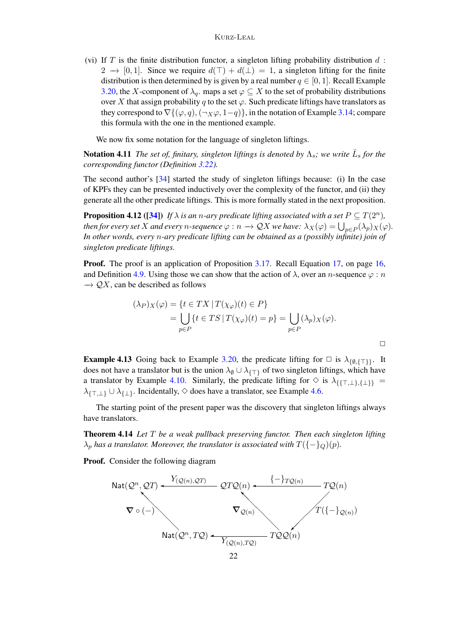<span id="page-21-2"></span>(vi) If T is the finite distribution functor, a singleton lifting probability distribution  $d$ :  $2 \rightarrow [0, 1]$ . Since we require  $d(\top) + d(\bot) = 1$ , a singleton lifting for the finite distribution is then determined by is given by a real number  $q \in [0, 1]$ . Recall Example [3.20,](#page-15-0) the X-component of  $\lambda_q$ , maps a set  $\varphi \subseteq X$  to the set of probability distributions over X that assign probability q to the set  $\varphi$ . Such predicate liftings have translators as they correspond to  $\nabla$ { $(\varphi, q)$ ,  $(\neg x\varphi, 1-q)$ }, in the notation of Example [3.14;](#page-12-0) compare this formula with the one in the mentioned example.

We now fix some notation for the language of singleton liftings.

**Notation 4.11** *The set of, finitary, singleton liftings is denoted by*  $\Lambda_s$ *; we write*  $\bar{L}_s$  *for the corresponding functor (Definition [3.22\)](#page-16-1).*

The second author's [\[34\]](#page-43-0) started the study of singleton liftings because: (i) In the case of KPFs they can be presented inductively over the complexity of the functor, and (ii) they generate all the other predicate liftings. This is more formally stated in the next proposition.

<span id="page-21-0"></span>**Proposition 4.12** ([\[34\]](#page-43-0)) If  $\lambda$  is an n-ary predicate lifting associated with a set  $P \subseteq T(2^n)$ , then for every set  $X$  and every  $n$ -sequence  $\varphi:n\to \mathcal{Q} X$  we have:  $\lambda_X(\varphi)=\bigcup_{p\in P}(\lambda_p)_X(\varphi).$ *In other words, every* n*-ary predicate lifting can be obtained as a (possibly infinite) join of singleton predicate liftings.*

**Proof.** The proof is an application of Proposition [3.17.](#page-14-1) Recall Equation [17,](#page-15-1) on page [16,](#page-15-1) and Definition [4.9.](#page-20-0) Using those we can show that the action of  $\lambda$ , over an *n*-sequence  $\varphi$ : *n*  $\rightarrow$  QX, can be described as follows

$$
(\lambda_P)_X(\varphi) = \{ t \in TX \mid T(\chi_{\varphi})(t) \in P \}
$$
  
= 
$$
\bigcup_{p \in P} \{ t \in TS \mid T(\chi_{\varphi})(t) = p \} = \bigcup_{p \in P} (\lambda_p)_X(\varphi).
$$

**Example 4.13** Going back to Example [3.20,](#page-15-0) the predicate lifting for  $\Box$  is  $\lambda_{\{\emptyset,\{\top\}\}}$ . It does not have a translator but is the union  $\lambda_{\emptyset} \cup \lambda_{\{\top\}}$  of two singleton liftings, which have a translator by Example [4.10.](#page-20-1) Similarly, the predicate lifting for  $\diamond$  is  $\lambda_{\{\{\top, \bot\},\{\bot\}\}}$  =  $\lambda_{\{\top,\bot\}} \cup \lambda_{\{\bot\}}$ . Incidentally,  $\diamond$  does have a translator, see Example [4.6.](#page-19-0)

The starting point of the present paper was the discovery that singleton liftings always have translators.

<span id="page-21-1"></span>Theorem 4.14 *Let* T *be a weak pullback preserving functor. Then each singleton lifting*  $\lambda_p$  *has a translator. Moreover, the translator is associated with*  $T(\{-\}_Q)(p)$ *.* 

**Proof.** Consider the following diagram

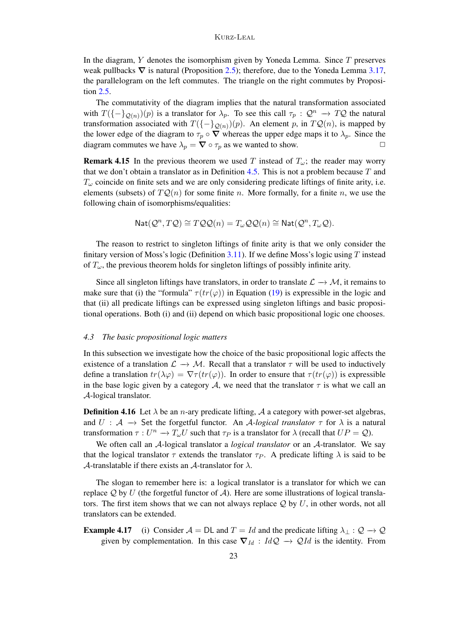In the diagram,  $Y$  denotes the isomorphism given by Yoneda Lemma. Since  $T$  preserves weak pullbacks  $\nabla$  is natural (Proposition [2.5\)](#page-4-1); therefore, due to the Yoneda Lemma [3.17,](#page-14-1) the parallelogram on the left commutes. The triangle on the right commutes by Proposition [2.5.](#page-4-1)

The commutativity of the diagram implies that the natural transformation associated with  $T(\{-\}_{\mathcal{Q}(n)})(p)$  is a translator for  $\lambda_p$ . To see this call  $\tau_p : \mathcal{Q}^n \to T\mathcal{Q}$  the natural transformation associated with  $T(\{-\}_{\mathcal{Q}(n)})(p)$ . An element p, in  $T\mathcal{Q}(n)$ , is mapped by the lower edge of the diagram to  $\tau_p \circ \nabla$  whereas the upper edge maps it to  $\lambda_p$ . Since the diagram commutes we have  $\lambda_p = \nabla \circ \tau_p$  as we wanted to show.

**Remark 4.15** In the previous theorem we used T instead of  $T_{\omega}$ ; the reader may worry that we don't obtain a translator as in Definition [4.5.](#page-18-2) This is not a problem because  $T$  and  $T_{\omega}$  coincide on finite sets and we are only considering predicate liftings of finite arity, i.e. elements (subsets) of  $TQ(n)$  for some finite n. More formally, for a finite n, we use the following chain of isomorphisms/equalities:

$$
\mathrm{Nat}(\mathcal{Q}^n,T\mathcal{Q}) \cong T\mathcal{Q}\mathcal{Q}(n) = T_{\omega}\mathcal{Q}\mathcal{Q}(n) \cong \mathrm{Nat}(\mathcal{Q}^n,T_{\omega}\mathcal{Q}).
$$

The reason to restrict to singleton liftings of finite arity is that we only consider the finitary version of Moss's logic (Definition [3.11\)](#page-11-2). If we define Moss's logic using  $T$  instead of  $T_{\omega}$ , the previous theorem holds for singleton liftings of possibly infinite arity.

Since all singleton liftings have translators, in order to translate  $\mathcal{L} \to \mathcal{M}$ , it remains to make sure that (i) the "formula"  $\tau(tr(\varphi))$  in Equation [\(19\)](#page-19-1) is expressible in the logic and that (ii) all predicate liftings can be expressed using singleton liftings and basic propositional operations. Both (i) and (ii) depend on which basic propositional logic one chooses.

#### *4.3 The basic propositional logic matters*

In this subsection we investigate how the choice of the basic propositional logic affects the existence of a translation  $\mathcal{L} \to \mathcal{M}$ . Recall that a translator  $\tau$  will be used to inductively define a translation  $tr(\lambda \varphi) = \nabla \tau(tr(\varphi))$ . In order to ensure that  $\tau(tr(\varphi))$  is expressible in the base logic given by a category A, we need that the translator  $\tau$  is what we call an A-logical translator.

<span id="page-22-1"></span>**Definition 4.16** Let  $\lambda$  be an *n*-ary predicate lifting,  $\lambda$  a category with power-set algebras, and  $U : A \rightarrow$  Set the forgetful functor. An A-logical translator  $\tau$  for  $\lambda$  is a natural transformation  $\tau: U^n \to T_{\omega}U$  such that  $\tau_P$  is a translator for  $\lambda$  (recall that  $UP = \mathcal{Q}$ ).

We often call an A-logical translator a *logical translator* or an A-translator. We say that the logical translator  $\tau$  extends the translator  $\tau_P$ . A predicate lifting  $\lambda$  is said to be A-translatable if there exists an A-translator for  $\lambda$ .

The slogan to remember here is: a logical translator is a translator for which we can replace  $\mathcal Q$  by U (the forgetful functor of  $\mathcal A$ ). Here are some illustrations of logical translators. The first item shows that we can not always replace  $\mathcal Q$  by U, in other words, not all translators can be extended.

<span id="page-22-0"></span>**Example 4.17** (i) Consider  $A = DL$  and  $T = Id$  and the predicate lifting  $\lambda_{\perp} : Q \to Q$ given by complementation. In this case  $\nabla_{Id}$  :  $IdQ \rightarrow QId$  is the identity. From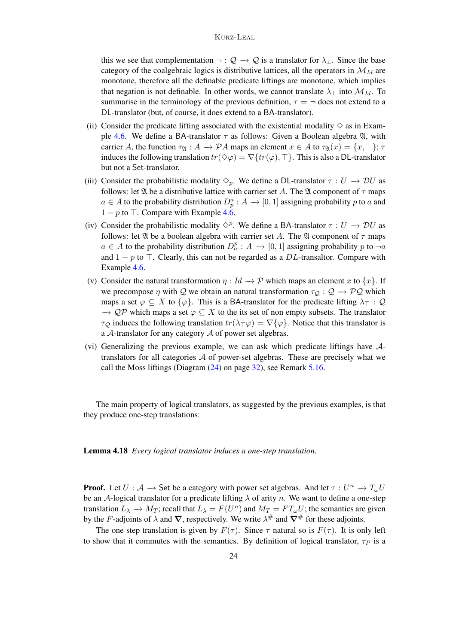this we see that complementation  $\neg: \mathcal{Q} \to \mathcal{Q}$  is a translator for  $\lambda_{\perp}$ . Since the base category of the coalgebraic logics is distributive lattices, all the operators in  $\mathcal{M}_{Id}$  are monotone, therefore all the definable predicate liftings are monotone, which implies that negation is not definable. In other words, we cannot translate  $\lambda_{\perp}$  into  $\mathcal{M}_{Id}$ . To summarise in the terminology of the previous definition,  $\tau = -$  does not extend to a DL-translator (but, of course, it does extend to a BA-translator).

- (ii) Consider the predicate lifting associated with the existential modality  $\diamond$  as in Exam-ple [4.6.](#page-19-0) We define a BA-translator  $\tau$  as follows: Given a Boolean algebra  $\mathfrak{A}$ , with carrier A, the function  $\tau_{\mathfrak{A}} : A \to \mathcal{P}A$  maps an element  $x \in A$  to  $\tau_{\mathfrak{A}}(x) = \{x, \top\}; \tau$ induces the following translation  $tr(\Diamond \varphi) = \nabla \{ tr(\varphi), \top \}$ . This is also a DL-translator but not a Set-translator.
- (iii) Consider the probabilistic modality  $\Diamond_p$ . We define a DL-translator  $\tau : U \to D U$  as follows: let  $\mathfrak A$  be a distributive lattice with carrier set A. The  $\mathfrak A$  component of  $\tau$  maps  $a \in A$  to the probability distribution  $D_p^a : A \to [0,1]$  assigning probability p to a and  $1 - p$  to  $\top$ . Compare with Example [4.6.](#page-19-0)
- (iv) Consider the probabilistic modality  $\Diamond^p$ . We define a BA-translator  $\tau : U \to \mathcal{D}U$  as follows: let  $\mathfrak A$  be a boolean algebra with carrier set A. The  $\mathfrak A$  component of  $\tau$  maps  $a \in A$  to the probability distribution  $D_a^p : A \to [0,1]$  assigning probability p to  $\neg a$ and  $1 - p$  to  $\top$ . Clearly, this can not be regarded as a DL-transaltor. Compare with Example [4.6.](#page-19-0)
- (v) Consider the natural transformation  $\eta : Id \to \mathcal{P}$  which maps an element x to  $\{x\}$ . If we precompose  $\eta$  with Q we obtain an natural transformation  $\tau_Q : Q \to PQ$  which maps a set  $\varphi \subseteq X$  to  $\{\varphi\}$ . This is a BA-translator for the predicate lifting  $\lambda_{\top} : \mathcal{Q}$  $\rightarrow$  QP which maps a set  $\varphi \subseteq X$  to the its set of non empty subsets. The translator  $\tau_Q$  induces the following translation  $tr(\lambda_\top \varphi) = \nabla {\varphi}$ . Notice that this translator is a  $A$ -translator for any category  $A$  of power set algebras.
- (vi) Generalizing the previous example, we can ask which predicate liftings have Atranslators for all categories  $A$  of power-set algebras. These are precisely what we call the Moss liftings (Diagram [\(24\)](#page-31-1) on page [32\)](#page-31-1), see Remark [5.16.](#page-32-0)

The main property of logical translators, as suggested by the previous examples, is that they produce one-step translations:

<span id="page-23-0"></span>Lemma 4.18 *Every logical translator induces a one-step translation.*

**Proof.** Let  $U: A \to$  Set be a category with power set algebras. And let  $\tau: U^n \to T_\omega U$ be an A-logical translator for a predicate lifting  $\lambda$  of arity n. We want to define a one-step translation  $L_{\lambda} \to M_T$ ; recall that  $L_{\lambda} = F(U^n)$  and  $M_T = FT_{\omega}U$ ; the semantics are given by the F-adjoints of  $\lambda$  and  $\nabla$ , respectively. We write  $\lambda^{\#}$  and  $\nabla^{\#}$  for these adjoints.

The one step translation is given by  $F(\tau)$ . Since  $\tau$  natural so is  $F(\tau)$ . It is only left to show that it commutes with the semantics. By definition of logical translator,  $\tau_P$  is a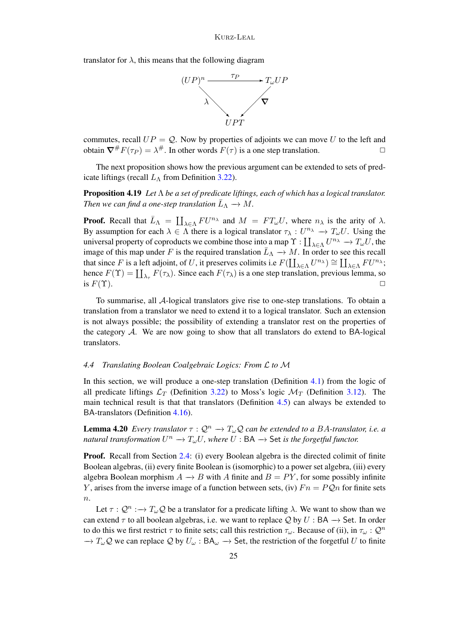translator for  $\lambda$ , this means that the following diagram



commutes, recall  $UP = Q$ . Now by properties of adjoints we can move U to the left and obtain  $\nabla^{\#} F(\tau_P) = \lambda^{\#}$ . In other words  $F(\tau)$  is a one step translation.

The next proposition shows how the previous argument can be extended to sets of predicate liftings (recall  $L<sub>\Lambda</sub>$  from Definition [3.22\)](#page-16-1).

<span id="page-24-1"></span>Proposition 4.19 *Let* Λ *be a set of predicate liftings, each of which has a logical translator.* Then we can find a one-step translation  $\bar{L}_{\Lambda} \to M$ .

**Proof.** Recall that  $\bar{L}_{\Lambda} = \coprod_{\lambda \in \Lambda} F U^{n_{\lambda}}$  and  $M = FT_{\omega}U$ , where  $n_{\lambda}$  is the arity of  $\lambda$ . By assumption for each  $\lambda \in \Lambda$  there is a logical translator  $\tau_{\lambda}: U^{n_{\lambda}} \to T_{\omega}U$ . Using the universal property of coproducts we combine those into a map  $\Upsilon : \coprod_{\lambda \in \Lambda} U^{n_{\lambda}} \to T_{\omega}U$ , the image of this map under F is the required translation  $\bar{L}_{\Lambda} \to M$ . In order to see this recall that since F is a left adjoint, of U, it preserves colimits i.e  $F(\coprod_{\lambda \in \Lambda} U^{n_{\lambda}}) \cong \coprod_{\lambda \in \Lambda} FU^{n_{\lambda}};$ hence  $F(\Upsilon) = \coprod_{\lambda_{\tau}} F(\tau_{\lambda})$ . Since each  $F(\tau_{\lambda})$  is a one step translation, previous lemma, so is  $F(\Upsilon)$ .

To summarise, all A-logical translators give rise to one-step translations. To obtain a translation from a translator we need to extend it to a logical translator. Such an extension is not always possible; the possibility of extending a translator rest on the properties of the category A. We are now going to show that all translators do extend to BA-logical translators.

### <span id="page-24-0"></span>*4.4 Translating Boolean Coalgebraic Logics: From* L *to* M

In this section, we will produce a one-step translation (Definition [4.1\)](#page-16-2) from the logic of all predicate liftings  $\mathcal{L}_T$  (Definition [3.22\)](#page-16-1) to Moss's logic  $\mathcal{M}_T$  (Definition [3.12\)](#page-11-3). The main technical result is that that translators (Definition [4.5\)](#page-18-2) can always be extended to BA-translators (Definition [4.16\)](#page-22-1).

**Lemma 4.20** *Every translator*  $\tau : \mathcal{Q}^n \to T_\omega \mathcal{Q}$  *can be extended to a BA-translator, i.e. a natural transformation*  $U^n \to T_\omega U$ , where  $U : BA \to Set$  *is the forgetful functor.* 

**Proof.** Recall from Section [2.4:](#page-4-0) (i) every Boolean algebra is the directed colimit of finite Boolean algebras, (ii) every finite Boolean is (isomorphic) to a power set algebra, (iii) every algebra Boolean morphism  $A \rightarrow B$  with A finite and  $B = PY$ , for some possibly infinite Y, arises from the inverse image of a function between sets, (iv)  $Fn = PQn$  for finite sets  $\overline{n}$ .

Let  $\tau: \mathcal{Q}^n : \to T_\omega \mathcal{Q}$  be a translator for a predicate lifting  $\lambda$ . We want to show than we can extend  $\tau$  to all boolean algebras, i.e. we want to replace Q by U : BA  $\rightarrow$  Set. In order to do this we first restrict  $\tau$  to finite sets; call this restriction  $\tau_{\omega}$ . Because of (ii), in  $\tau_{\omega} : \mathcal{Q}^n$  $\to T_\omega \mathcal{Q}$  we can replace  $\mathcal{Q}$  by  $U_\omega : BA_\omega \to Set$ , the restriction of the forgetful U to finite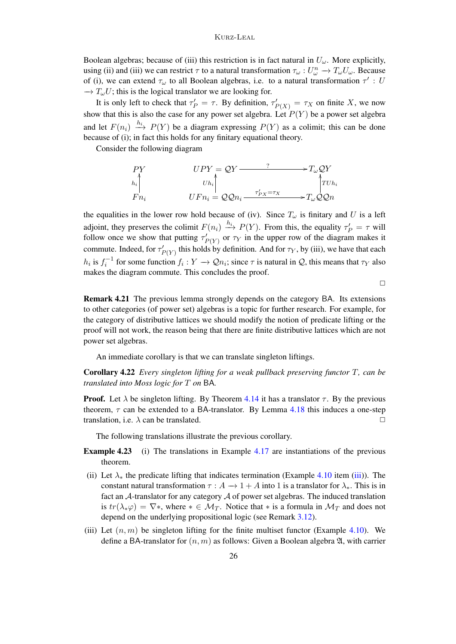### Kurz-Leal

Boolean algebras; because of (iii) this restriction is in fact natural in  $U_{\omega}$ . More explicitly, using (ii) and (iii) we can restrict  $\tau$  to a natural transformation  $\tau_\omega: U_\omega^n \to T_\omega U_\omega$ . Because of (i), we can extend  $\tau_{\omega}$  to all Boolean algebras, i.e. to a natural transformation  $\tau'$ : U  $\rightarrow T_{\omega}U$ ; this is the logical translator we are looking for.

It is only left to check that  $\tau'_P = \tau$ . By definition,  $\tau'_{P(X)} = \tau_X$  on finite X, we now show that this is also the case for any power set algebra. Let  $P(Y)$  be a power set algebra and let  $F(n_i) \xrightarrow{h_i} P(Y)$  be a diagram expressing  $P(Y)$  as a colimit; this can be done because of (i); in fact this holds for any finitary equational theory.

Consider the following diagram

$$
\begin{array}{ccc}\nPV & & UPY = QY \longrightarrow^{?} T_{\omega} QY \\
h_i & & \downarrow h_i \\
F n_i & & UFn_i = QQn_i \longrightarrow^{7_P} x = \tau_X \\
\end{array}
$$

the equalities in the lower row hold because of (iv). Since  $T_{\omega}$  is finitary and U is a left adjoint, they preserves the colimit  $F(n_i) \stackrel{h_i}{\longrightarrow} P(Y)$ . From this, the equality  $\tau'_P = \tau$  will follow once we show that putting  $\tau'_{P(Y)}$  or  $\tau_Y$  in the upper row of the diagram makes it commute. Indeed, for  $\tau'_{P(Y)}$  this holds by definition. And for  $\tau_Y$ , by (iii), we have that each  $h_i$  is  $f_i^{-1}$  for some function  $f_i: Y \to Qn_i$ ; since  $\tau$  is natural in Q, this means that  $\tau_Y$  also makes the diagram commute. This concludes the proof.

 $\Box$ 

Remark 4.21 The previous lemma strongly depends on the category BA. Its extensions to other categories (of power set) algebras is a topic for further research. For example, for the category of distributive lattices we should modify the notion of predicate lifting or the proof will not work, the reason being that there are finite distributive lattices which are not power set algebras.

An immediate corollary is that we can translate singleton liftings.

Corollary 4.22 *Every singleton lifting for a weak pullback preserving functor* T*, can be translated into Moss logic for* T *on* BA*.*

**Proof.** Let  $\lambda$  be singleton lifting. By Theorem [4.14](#page-21-1) it has a translator  $\tau$ . By the previous theorem,  $\tau$  can be extended to a BA-translator. By Lemma [4.18](#page-23-0) this induces a one-step translation, i.e.  $\lambda$  can be translated.  $\Box$ 

The following translations illustrate the previous corollary.

- Example 4.23 (i) The translations in Example [4.17](#page-22-0) are instantiations of the previous theorem.
- (ii) Let  $\lambda_*$  the predicate lifting that indicates termination (Example [4.10](#page-20-1) item [\(iii\)](#page-20-2)). The constant natural transformation  $\tau : A \to 1 + A$  into 1 is a translator for  $\lambda_*$ . This is in fact an A-translator for any category A of power set algebras. The induced translation is  $tr(\lambda_*\varphi) = \nabla^*$ , where  $* \in \mathcal{M}_T$ . Notice that  $*$  is a formula in  $\mathcal{M}_T$  and does not depend on the underlying propositional logic (see Remark [3.12\)](#page-11-3).
- (iii) Let  $(n, m)$  be singleton lifting for the finite multiset functor (Example [4.10\)](#page-20-1). We define a BA-translator for  $(n, m)$  as follows: Given a Boolean algebra  $\mathfrak{A}$ , with carrier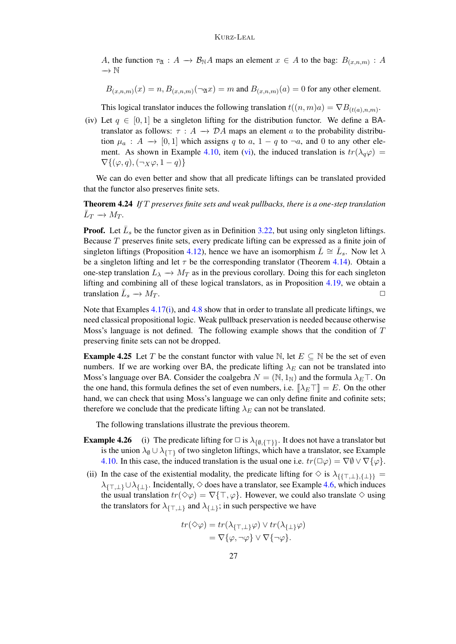A, the function  $\tau_{\mathfrak{A}} : A \to B_{\mathbb{N}}A$  maps an element  $x \in A$  to the bag:  $B_{(x,n,m)} : A$ −→ N

 $B_{(x,n,m)}(x) = n, B_{(x,n,m)}(\neg \mathfrak{A}x) = m$  and  $B_{(x,n,m)}(a) = 0$  for any other element.

This logical translator induces the following translation  $t((n,m)a) = \nabla B_{(t(a),n,m)}$ .

(iv) Let  $q \in [0, 1]$  be a singleton lifting for the distribution functor. We define a BAtranslator as follows:  $\tau : A \rightarrow \mathcal{D}A$  maps an element a to the probability distribution  $\mu_a : A \to [0, 1]$  which assigns q to a,  $1 - q$  to  $\neg a$ , and 0 to any other ele-ment. As shown in Example [4.10,](#page-20-1) item [\(vi\)](#page-21-2), the induced translation is  $tr(\lambda_q\varphi)$  =  $\nabla\{(\varphi,q),(\neg_X\varphi,1-q)\}\n$ 

We can do even better and show that all predicate liftings can be translated provided that the functor also preserves finite sets.

<span id="page-26-1"></span>Theorem 4.24 *If* T *preserves finite sets and weak pullbacks, there is a one-step translation*  $\bar{L}_T \to M_T$ .

**Proof.** Let  $\bar{L}_s$  be the functor given as in Definition [3.22,](#page-16-1) but using only singleton liftings. Because  $T$  preserves finite sets, every predicate lifting can be expressed as a finite join of singleton liftings (Proposition [4.12\)](#page-21-0), hence we have an isomorphism  $\bar{L} \cong \bar{L}_s$ . Now let  $\lambda$ be a singleton lifting and let  $\tau$  be the corresponding translator (Theorem [4.14\)](#page-21-1). Obtain a one-step translation  $L_{\lambda} \rightarrow M_T$  as in the previous corollary. Doing this for each singleton lifting and combining all of these logical translators, as in Proposition [4.19,](#page-24-1) we obtain a translation  $\bar{L}_s \to M_T$ .

Note that Examples [4.17\(i\)](#page-22-0), and [4.8](#page-19-2) show that in order to translate all predicate liftings, we need classical propositional logic. Weak pullback preservation is needed because otherwise Moss's language is not defined. The following example shows that the condition of  $T$ preserving finite sets can not be dropped.

<span id="page-26-0"></span>**Example 4.25** Let T be the constant functor with value N, let  $E \subseteq N$  be the set of even numbers. If we are working over BA, the predicate lifting  $\lambda_E$  can not be translated into Moss's language over BA. Consider the coalgebra  $N = (N, 1_N)$  and the formula  $\lambda_E \top$ . On the one hand, this formula defines the set of even numbers, i.e.  $[\lambda_E \top] = E$ . On the other hand, we can check that using Moss's language we can only define finite and cofinite sets; therefore we conclude that the predicate lifting  $\lambda_E$  can not be translated.

The following translations illustrate the previous theorem.

- **Example 4.26** (i) The predicate lifting for  $\Box$  is  $\lambda_{\{\emptyset,\{\top\}\}}$ . It does not have a translator but is the union  $\lambda_{\emptyset} \cup \lambda_{\{\top\}}$  of two singleton liftings, which have a translator, see Example [4.10.](#page-20-1) In this case, the induced translation is the usual one i.e.  $tr(\Box \varphi) = \nabla \varnothing \vee \nabla {\varphi}$ .
- (ii) In the case of the existential modality, the predicate lifting for  $\diamond$  is  $\lambda_{\{\{\top,\bot\},\{\bot\}\}}$  =  $\lambda_{\{\top,\bot\}}\cup\lambda_{\{\bot\}}$ . Incidentally,  $\diamond$  does have a translator, see Example [4.6,](#page-19-0) which induces the usual translation  $tr(\Diamond \varphi) = \nabla {\{\top, \varphi\}}$ . However, we could also translate  $\Diamond$  using the translators for  $\lambda_{\{\top,\bot\}}$  and  $\lambda_{\{\bot\}}$ ; in such perspective we have

$$
tr(\Diamond \varphi) = tr(\lambda_{\{\top, \bot\}} \varphi) \lor tr(\lambda_{\{\bot\}} \varphi)
$$
  
=  $\nabla \{\varphi, \neg \varphi\} \lor \nabla \{\neg \varphi\}.$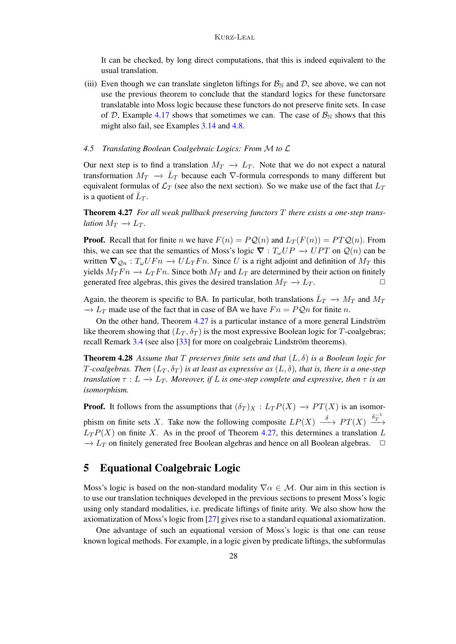It can be checked, by long direct computations, that this is indeed equivalent to the usual translation.

(iii) Even though we can translate singleton liftings for  $\mathcal{B}_{\mathbb{N}}$  and  $\mathcal{D}$ , see above, we can not use the previous theorem to conclude that the standard logics for these functorsare translatable into Moss logic because these functors do not preserve finite sets. In case of D, Example [4.17](#page-22-0) shows that sometimes we can. The case of  $\mathcal{B}_{\mathbb{N}}$  shows that this might also fail, see Examples [3.14](#page-12-0) and [4.8.](#page-19-2)

# <span id="page-27-1"></span>*4.5 Translating Boolean Coalgebraic Logics: From* M *to* L

Our next step is to find a translation  $M_T \to L_T$ . Note that we do not expect a natural transformation  $M_T \to \bar{L}_T$  because each  $\nabla$ -formula corresponds to many different but equivalent formulas of  $\mathcal{L}_T$  (see also the next section). So we make use of the fact that  $L_T$ is a quotient of  $\bar{L}_T$ .

<span id="page-27-2"></span>Theorem 4.27 *For all weak pullback preserving functors* T *there exists a one-step translation*  $M_T \to L_T$ .

**Proof.** Recall that for finite n we have  $F(n) = PQ(n)$  and  $L_T(F(n)) = PTQ(n)$ . From this, we can see that the semantics of Moss's logic  $\nabla : T_{\omega}UP \to UPT$  on  $Q(n)$  can be written  $\nabla_{\mathcal{Q}_n} : T_{\omega} U F n \to U L_T F n$ . Since U is a right adjoint and definition of  $M_T$  this yields  $M_T F n \to L_T F n$ . Since both  $M_T$  and  $L_T$  are determined by their action on finitely generated free algebras, this gives the desired translation  $M_T \to L_T$ .

Again, the theorem is specific to BA. In particular, both translations  $\bar{L}_T \to M_T$  and  $M_T$  $\rightarrow L_T$  made use of the fact that in case of BA we have  $Fn = PQn$  for finite n.

On the other hand, Theorem  $4.27$  is a particular instance of a more general Lindström like theorem showing that  $(L_T, \delta_T)$  is the most expressive Boolean logic for T-coalgebras; recall Remark  $3.4$  (see also [ $33$ ] for more on coalgebraic Lindström theorems).

Theorem 4.28 *Assume that* T *preserves finite sets and that* (L, δ) *is a Boolean logic for* T-coalgebras. Then  $(L_T, \delta_T)$  is at least as expressive as  $(L, \delta)$ , that is, there is a one-step *translation*  $\tau : L \to L_T$ *. Moreover, if* L *is one-step complete and expressive, then*  $\tau$  *is an isomorphism.*

**Proof.** It follows from the assumptions that  $(\delta_T)_X : L_T P(X) \to PT(X)$  is an isomorphism on finite sets X. Take now the following composite  $LP(X) \stackrel{\delta}{\longrightarrow} PT(X) \stackrel{\delta_T^{-1}}{\longrightarrow}$  $L_T P(X)$  on finite X. As in the proof of Theorem [4.27,](#page-27-2) this determines a translation L  $\rightarrow$  L<sub>T</sub> on finitely generated free Boolean algebras and hence on all Boolean algebras.  $\Box$ 

# <span id="page-27-0"></span>5 Equational Coalgebraic Logic

Moss's logic is based on the non-standard modality  $\nabla \alpha \in \mathcal{M}$ . Our aim in this section is to use our translation techniques developed in the previous sections to present Moss's logic using only standard modalities, i.e. predicate liftings of finite arity. We also show how the axiomatization of Moss's logic from [\[27\]](#page-43-14) gives rise to a standard equational axiomatization.

One advantage of such an equational version of Moss's logic is that one can reuse known logical methods. For example, in a logic given by predicate liftings, the subformulas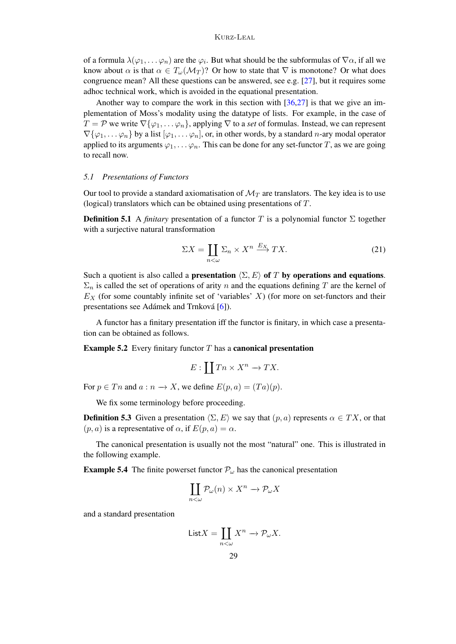### Kurz-Leal

of a formula  $\lambda(\varphi_1,\ldots,\varphi_n)$  are the  $\varphi_i$ . But what should be the subformulas of  $\nabla\alpha$ , if all we know about  $\alpha$  is that  $\alpha \in T_{\omega}(\mathcal{M}_T)$ ? Or how to state that  $\nabla$  is monotone? Or what does congruence mean? All these questions can be answered, see e.g. [\[27\]](#page-43-14), but it requires some adhoc technical work, which is avoided in the equational presentation.

Another way to compare the work in this section with [\[36](#page-43-5)[,27\]](#page-43-14) is that we give an implementation of Moss's modality using the datatype of lists. For example, in the case of  $T = \mathcal{P}$  we write  $\nabla {\varphi_1, \ldots \varphi_n}$ , applying  $\nabla$  to a *set* of formulas. Instead, we can represent  $\nabla{\varphi_1,\ldots,\varphi_n}$  by a list  $[\varphi_1,\ldots,\varphi_n]$ , or, in other words, by a standard *n*-ary modal operator applied to its arguments  $\varphi_1, \ldots, \varphi_n$ . This can be done for any set-functor T, as we are going to recall now.

#### *5.1 Presentations of Functors*

Our tool to provide a standard axiomatisation of  $\mathcal{M}_T$  are translators. The key idea is to use (logical) translators which can be obtained using presentations of T.

**Definition 5.1** A *finitary* presentation of a functor T is a polynomial functor  $\Sigma$  together with a surjective natural transformation

$$
\Sigma X = \coprod_{n < \omega} \Sigma_n \times X^n \xrightarrow{E_X} TX. \tag{21}
$$

Such a quotient is also called a **presentation**  $\langle \Sigma, E \rangle$  of T by operations and equations.  $\Sigma_n$  is called the set of operations of arity n and the equations defining T are the kernel of  $E_X$  (for some countably infinite set of 'variables' X) (for more on set-functors and their presentations see Adámek and Trnková  $[6]$  $[6]$ ).

A functor has a finitary presentation iff the functor is finitary, in which case a presentation can be obtained as follows.

**Example 5.2** Every finitary functor  $T$  has a **canonical presentation** 

$$
E:\coprod Tn\times X^n\to TX.
$$

For  $p \in T_n$  and  $a : n \to X$ , we define  $E(p, a) = (Ta)(p)$ .

We fix some terminology before proceeding.

**Definition 5.3** Given a presentation  $\langle \Sigma, E \rangle$  we say that  $(p, a)$  represents  $\alpha \in TX$ , or that  $(p, a)$  is a representative of  $\alpha$ , if  $E(p, a) = \alpha$ .

The canonical presentation is usually not the most "natural" one. This is illustrated in the following example.

<span id="page-28-0"></span>**Example 5.4** The finite powerset functor  $\mathcal{P}_{\omega}$  has the canonical presentation

$$
\coprod_{n<\omega}\mathcal{P}_\omega(n)\times X^n\to \mathcal{P}_\omega X
$$

and a standard presentation

$$
\mathsf{List} X = \coprod_{n<\omega} X^n \to \mathcal{P}_{\omega} X.
$$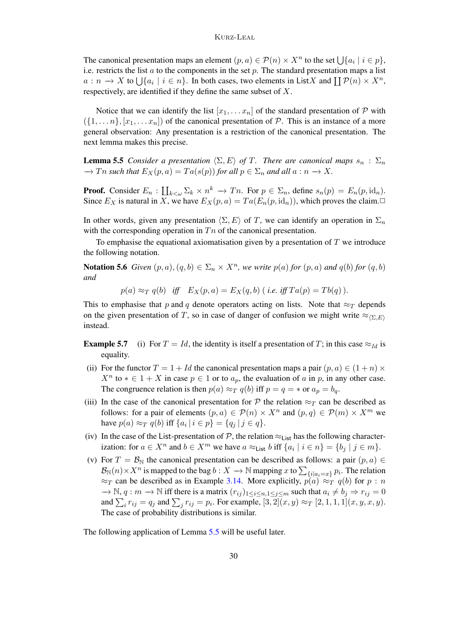The canonical presentation maps an element  $(p, a) \in \mathcal{P}(n) \times X^n$  to the set  $\bigcup \{a_i \mid i \in p\}$ , i.e. restricts the list  $a$  to the components in the set  $p$ . The standard presentation maps a list  $a: n \to X$  to  $\bigcup \{a_i \mid i \in n\}$ . In both cases, two elements in List X and  $\prod \mathcal{P}(n) \times X^n$ , respectively, are identified if they define the same subset of X.

Notice that we can identify the list  $[x_1, \ldots, x_n]$  of the standard presentation of  $P$  with  $({1, \ldots n}, [x_1, \ldots, x_n])$  of the canonical presentation of  $P$ . This is an instance of a more general observation: Any presentation is a restriction of the canonical presentation. The next lemma makes this precise.

<span id="page-29-0"></span>**Lemma 5.5** *Consider a presentation*  $\langle \Sigma, E \rangle$  *of* T. *There are canonical maps*  $s_n : \Sigma_n$  $\rightarrow$  Tn such that  $E_X(p, a) = Ta(s(p))$  for all  $p \in \Sigma_n$  and all  $a : n \rightarrow X$ .

**Proof.** Consider  $E_n$  :  $\prod_{k<\omega}\Sigma_k\times n^k\to T_n$ . For  $p\in\Sigma_n$ , define  $s_n(p)=E_n(p,\mathrm{id}_n)$ . Since  $E_X$  is natural in X, we have  $E_X(p, a) = Ta(E_n(p, \text{id}_n))$ , which proves the claim.

In other words, given any presentation  $\langle \Sigma, E \rangle$  of T, we can identify an operation in  $\Sigma_n$ with the corresponding operation in  $T_n$  of the canonical presentation.

To emphasise the equational axiomatisation given by a presentation of  $T$  we introduce the following notation.

**Notation 5.6** Given  $(p, a)$ ,  $(q, b) \in \Sigma_n \times X^n$ , we write  $p(a)$  for  $(p, a)$  and  $q(b)$  for  $(q, b)$ *and*

$$
p(a) \approx_T q(b) \quad \text{iff} \quad E_X(p,a) = E_X(q,b) \ (i.e. \text{ iff } Ta(p) = Tb(q) \).
$$

This to emphasise that p and q denote operators acting on lists. Note that  $\approx_T$  depends on the given presentation of T, so in case of danger of confusion we might write  $\approx_{\langle\Sigma,E\rangle}$ instead.

- <span id="page-29-1"></span>**Example 5.7** (i) For  $T = Id$ , the identity is itself a presentation of T; in this case  $\approx_{Id}$  is equality.
- (ii) For the functor  $T = 1 + Id$  the canonical presentation maps a pair  $(p, a) \in (1 + n) \times$  $X^n$  to  $* \in 1 + X$  in case  $p \in 1$  or to  $a_p$ , the evaluation of a in p, in any other case. The congruence relation is then  $p(a) \approx_T q(b)$  iff  $p = q = *$  or  $a_p = b_q$ .
- (iii) In the case of the canonical presentation for P the relation  $\approx_T$  can be described as follows: for a pair of elements  $(p, a) \in \mathcal{P}(n) \times X^n$  and  $(p, q) \in \mathcal{P}(m) \times X^m$  we have  $p(a) \approx_T q(b)$  iff  $\{a_i \mid i \in p\} = \{q_j \mid j \in q\}.$
- (iv) In the case of the List-presentation of  $P$ , the relation  $\approx_{List}$  has the following characterization: for  $a \in X^n$  and  $b \in X^m$  we have  $a \approx_{List} b$  iff  $\{a_i \mid i \in n\} = \{b_j \mid j \in m\}$ .
- <span id="page-29-2"></span>(v) For  $T = B_N$  the canonical presentation can be described as follows: a pair  $(p, a) \in$  $\mathcal{B}_\mathbb{N}(n)\times X^n$  is mapped to the bag  $b:X\to\mathbb{N}$  mapping  $x$  to  $\sum_{\{i\mid a_i=x\}}p_i.$  The relation  $\approx_T$  can be described as in Example [3.14.](#page-12-0) More explicitly,  $p(a) \approx_T q(b)$  for  $p : n$  $\rightarrow \mathbb{N}, q : m \rightarrow \mathbb{N}$  iff there is a matrix  $(r_{ij})_{1 \leq i \leq n, 1 \leq j \leq m}$  such that  $a_i \neq b_j \Rightarrow r_{ij} = 0$ and  $\sum_i r_{ij} = q_j$  and  $\sum_j r_{ij} = p_i$ . For example,  $[3, 2](x, y) \approx_T [2, 1, 1, 1](x, y, x, y)$ . The case of probability distributions is similar.

<span id="page-29-3"></span>The following application of Lemma [5.5](#page-29-0) will be useful later.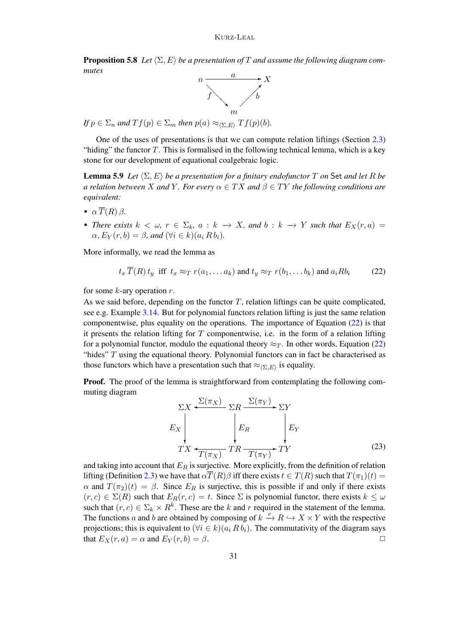**Proposition 5.8** Let  $\langle \Sigma, E \rangle$  be a presentation of T and assume the following diagram com*mutes*



*If*  $p \in \Sigma_n$  *and*  $Tf(p) \in \Sigma_m$  *then*  $p(a) \approx_{\langle \Sigma, E \rangle} Tf(p)(b)$ *.* 

One of the uses of presentations is that we can compute relation liftings (Section [2.3\)](#page-3-2) "hiding" the functor  $T$ . This is formalised in the following technical lemma, which is a key stone for our development of equational coalgebraic logic.

<span id="page-30-1"></span>**Lemma 5.9** *Let*  $\langle \Sigma, E \rangle$  *be a presentation for a finitary endofunctor* T *on* Set *and let* R *be a relation between* X *and* Y. For every  $\alpha \in TX$  *and*  $\beta \in TY$  *the following conditions are equivalent:*

- $\alpha \overline{T}(R) \beta$ .
- *There exists*  $k < \omega$ ,  $r \in \Sigma_k$ ,  $a : k \to X$ , and  $b : k \to Y$  such that  $E_X(r, a) =$  $\alpha$ ,  $E_Y(r, b) = \beta$ , and  $(\forall i \in k)(a_i R b_i)$ .

More informally, we read the lemma as

<span id="page-30-0"></span>
$$
t_x \overline{T}(R) t_y \text{ iff } t_x \approx_T r(a_1, \dots a_k) \text{ and } t_y \approx_T r(b_1, \dots b_k) \text{ and } a_i R b_i \tag{22}
$$

for some  $k$ -ary operation  $r$ .

As we said before, depending on the functor  $T$ , relation liftings can be quite complicated, see e.g. Example [3.14.](#page-12-0) But for polynomial functors relation lifting is just the same relation componentwise, plus equality on the operations. The importance of Equation [\(22\)](#page-30-0) is that it presents the relation lifting for  $T$  componentwise, i.e. in the form of a relation lifting for a polynomial functor, modulo the equational theory  $\approx_T$ . In other words, Equation [\(22\)](#page-30-0) "hides"  $T$  using the equational theory. Polynomial functors can in fact be characterised as those functors which have a presentation such that  $\approx_{\langle \Sigma, E \rangle}$  is equality.

**Proof.** The proof of the lemma is straightforward from contemplating the following commuting diagram

<span id="page-30-2"></span>
$$
\Sigma X \leftarrow \Sigma (\pi_X) \Sigma R \xrightarrow{\Sigma (\pi_Y)} \Sigma Y
$$
\n
$$
E_X \downarrow E_R \downarrow E_Y
$$
\n
$$
TX \leftarrow \frac{\Gamma(\pi_X)}{T(\pi_X)} T R \xrightarrow{T(\pi_Y)} T Y
$$
\n(23)

and taking into account that  $E_R$  is surjective. More explicitly, from the definition of relation lifting (Definition [2.3\)](#page-3-1) we have that  $\alpha \overline{T}(R)\beta$  iff there exists  $t \in T(R)$  such that  $T(\pi_1)(t) =$  $\alpha$  and  $T(\pi_2)(t) = \beta$ . Since  $E_R$  is surjective, this is possible if and only if there exists  $(r, c) \in \Sigma(R)$  such that  $E_R(r, c) = t$ . Since  $\Sigma$  is polynomial functor, there exists  $k \leq \omega$ such that  $(r, c) \in \Sigma_k \times R^k$ . These are the k and r required in the statement of the lemma. The functions a and b are obtained by composing of  $k \xrightarrow{c} R \hookrightarrow X \times Y$  with the respective projections; this is equivalent to  $(\forall i \in k)(a_i R b_i)$ . The commutativity of the diagram says that  $E_X(r, a) = \alpha$  and  $E_Y(r, b) = \beta$ .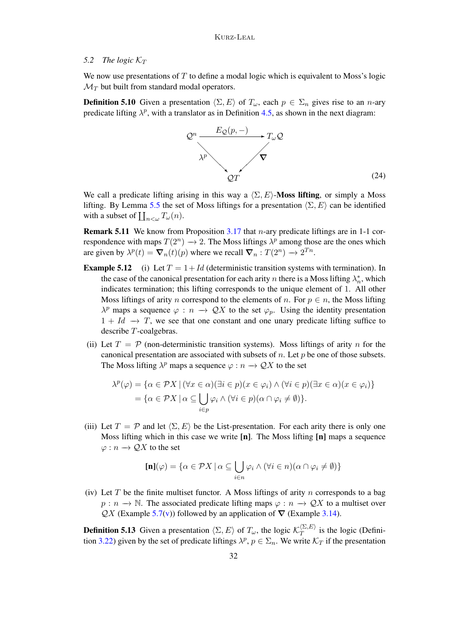# <span id="page-31-0"></span>5.2 The logic  $K_T$

We now use presentations of  $T$  to define a modal logic which is equivalent to Moss's logic  $\mathcal{M}_T$  but built from standard modal operators.

**Definition 5.10** Given a presentation  $\langle \Sigma, E \rangle$  of  $T_{\omega}$ , each  $p \in \Sigma_n$  gives rise to an n-ary predicate lifting  $\lambda^p$ , with a translator as in Definition [4.5,](#page-18-2) as shown in the next diagram:

<span id="page-31-1"></span>

We call a predicate lifting arising in this way a  $\langle \Sigma, E \rangle$ -Moss lifting, or simply a Moss lifting. By Lemma [5.5](#page-29-0) the set of Moss liftings for a presentation  $\langle \Sigma, E \rangle$  can be identified with a subset of  $\prod_{n<\omega} T_{\omega}(n)$ .

**Remark 5.11** We know from Proposition [3.17](#page-14-1) that *n*-ary predicate liftings are in 1-1 correspondence with maps  $T(2^n) \to 2$ . The Moss liftings  $\lambda^p$  among those are the ones which are given by  $\lambda^p(t) = \nabla_n(t)(p)$  where we recall  $\nabla_n : T(2^n) \to 2^{T_n}$ .

- **Example 5.12** (i) Let  $T = 1 + Id$  (deterministic transition systems with termination). In the case of the canonical presentation for each arity n there is a Moss lifting  $\lambda_n^*$ , which indicates termination; this lifting corresponds to the unique element of 1. All other Moss liftings of arity *n* correspond to the elements of *n*. For  $p \in n$ , the Moss lifting  $\lambda^p$  maps a sequence  $\varphi : n \to \mathcal{Q}X$  to the set  $\varphi_p$ . Using the identity presentation  $1 + Id \rightarrow T$ , we see that one constant and one unary predicate lifting suffice to describe T-coalgebras.
- (ii) Let  $T = \mathcal{P}$  (non-deterministic transition systems). Moss liftings of arity n for the canonical presentation are associated with subsets of  $n$ . Let  $p$  be one of those subsets. The Moss lifting  $\lambda^p$  maps a sequence  $\varphi : n \to \mathcal{Q}X$  to the set

$$
\lambda^{p}(\varphi) = \{ \alpha \in \mathcal{P}X \mid (\forall x \in \alpha)(\exists i \in p)(x \in \varphi_{i}) \land (\forall i \in p)(\exists x \in \alpha)(x \in \varphi_{i}) \}
$$
  
= 
$$
\{ \alpha \in \mathcal{P}X \mid \alpha \subseteq \bigcup_{i \in p} \varphi_{i} \land (\forall i \in p)(\alpha \cap \varphi_{i} \neq \emptyset) \}.
$$

(iii) Let  $T = \mathcal{P}$  and let  $\langle \Sigma, E \rangle$  be the List-presentation. For each arity there is only one Moss lifting which in this case we write [n]. The Moss lifting [n] maps a sequence  $\varphi : n \to \mathcal{Q}X$  to the set

$$
[\mathbf{n}](\varphi) = \{ \alpha \in \mathcal{P}X \mid \alpha \subseteq \bigcup_{i \in n} \varphi_i \land (\forall i \in n)(\alpha \cap \varphi_i \neq \emptyset) \}
$$

(iv) Let T be the finite multiset functor. A Moss liftings of arity n corresponds to a bag  $p : n \to \mathbb{N}$ . The associated predicate lifting maps  $\varphi : n \to \mathcal{Q}X$  to a multiset over  $QX$  (Example [5.7](#page-29-1)[\(v\)](#page-29-2)) followed by an application of  $\nabla$  (Example [3.14\)](#page-12-0).

**Definition 5.13** Given a presentation  $\langle \Sigma, E \rangle$  of  $T_{\omega}$ , the logic  $\mathcal{K}_T^{\langle \Sigma, E \rangle}$  $T^{(2, E)}$  is the logic (Defini-tion [3.22\)](#page-16-1) given by the set of predicate liftings  $\lambda^p$ ,  $p \in \Sigma_n$ . We write  $\mathcal{K}_T$  if the presentation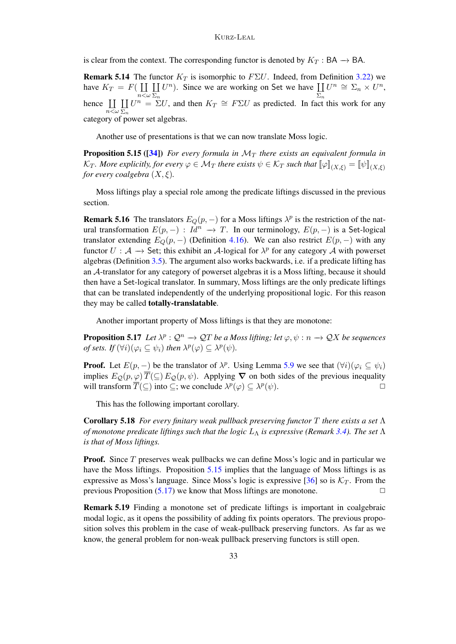is clear from the context. The corresponding functor is denoted by  $K_T : BA \rightarrow BA$ .

**Remark 5.14** The functor  $K_T$  is isomorphic to  $F\Sigma U$ . Indeed, from Definition [3.22\)](#page-16-1) we have  $K_T = F(\prod$  $n<\omega$  $\rm{II}$  $\Sigma_n$  $U^{n}$ ). Since we are working on Set we have  $\prod$  $\Sigma_n$  $U^n \cong \Sigma_n \times U^n$ , hence  $\prod$  $n<\omega$  $\rm{II}$  $\Sigma_n$  $U^n = \Sigma U$ , and then  $K_T \cong F\Sigma U$  as predicted. In fact this work for any category of power set algebras.

Another use of presentations is that we can now translate Moss logic.

<span id="page-32-1"></span>**Proposition 5.15 ([\[34\]](#page-43-0))** *For every formula in*  $\mathcal{M}_T$  *there exists an equivalent formula in*  $\mathcal{K}_T$ *. More explicitly, for every*  $\varphi \in \mathcal{M}_T$  *there exists*  $\psi \in \mathcal{K}_T$  *such that*  $[\![\varphi]\!]_{(X,\xi)} = [\![\psi]\!]_{(X,\xi)}$ *for every coalgebra*  $(X, \xi)$ *.* 

Moss liftings play a special role among the predicate liftings discussed in the previous section.

<span id="page-32-0"></span>**Remark 5.16** The translators  $E_Q(p, -)$  for a Moss liftings  $\lambda^p$  is the restriction of the natural transformation  $E(p, -): Id^n \to T$ . In our terminology,  $E(p, -)$  is a Set-logical translator extending  $E_Q(p, -)$  (Definition [4.16\)](#page-22-1). We can also restrict  $E(p, -)$  with any functor  $U : A \rightarrow$  Set; this exhibit an A-logical for  $\lambda^p$  for any category A with powerset algebras (Definition [3.5\)](#page-8-0). The argument also works backwards, i.e. if a predicate lifting has an A-translator for any category of powerset algebras it is a Moss lifting, because it should then have a Set-logical translator. In summary, Moss liftings are the only predicate liftings that can be translated independently of the underlying propositional logic. For this reason they may be called totally-translatable.

Another important property of Moss liftings is that they are monotone:

<span id="page-32-2"></span>**Proposition 5.17** Let  $\lambda^p : \mathcal{Q}^n \to \mathcal{Q}T$  be a Moss lifting; let  $\varphi, \psi : n \to \mathcal{Q}X$  be sequences *of sets.* If  $(\forall i)(\varphi_i \subseteq \psi_i)$  then  $\lambda^p(\varphi) \subseteq \lambda^p(\psi)$ .

**Proof.** Let  $E(p, -)$  be the translator of  $\lambda^p$ . Using Lemma [5.9](#page-30-1) we see that  $(\forall i)(\varphi_i \subseteq \psi_i)$ implies  $E_Q(p,\varphi) \overline{T}(\subseteq) E_Q(p,\psi)$ . Applying  $\nabla$  on both sides of the previous inequality will transform  $\overline{T}(\subseteq)$  into  $\subseteq$ ; we conclude  $\lambda^p(\varphi) \subseteq \lambda^p(\psi)$ .

This has the following important corollary.

Corollary 5.18 *For every finitary weak pullback preserving functor* T *there exists a set* Λ *of monotone predicate liftings such that the logic* L<sup>Λ</sup> *is expressive (Remark [3.4\)](#page-8-3). The set* Λ *is that of Moss liftings.*

**Proof.** Since  $T$  preserves weak pullbacks we can define Moss's logic and in particular we have the Moss liftings. Proposition [5.15](#page-32-1) implies that the language of Moss liftings is as expressive as Moss's language. Since Moss's logic is expressive [\[36\]](#page-43-5) so is  $K_T$ . From the previous Proposition  $(5.17)$  we know that Moss liftings are monotone.

Remark 5.19 Finding a monotone set of predicate liftings is important in coalgebraic modal logic, as it opens the possibility of adding fix points operators. The previous proposition solves this problem in the case of weak-pullback preserving functors. As far as we know, the general problem for non-weak pullback preserving functors is still open.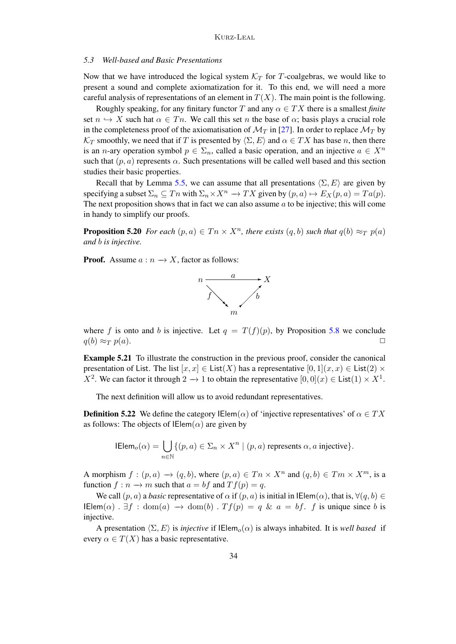### *5.3 Well-based and Basic Presentations*

Now that we have introduced the logical system  $K_T$  for T-coalgebras, we would like to present a sound and complete axiomatization for it. To this end, we will need a more careful analysis of representations of an element in  $T(X)$ . The main point is the following.

Roughly speaking, for any finitary functor T and any  $\alpha \in TX$  there is a smallest *finite* set  $n \hookrightarrow X$  such hat  $\alpha \in T_n$ . We call this set n the base of  $\alpha$ ; basis plays a crucial role in the completeness proof of the axiomatisation of  $\mathcal{M}_T$  in [\[27\]](#page-43-14). In order to replace  $\mathcal{M}_T$  by  $\mathcal{K}_T$  smoothly, we need that if T is presented by  $\langle \Sigma, E \rangle$  and  $\alpha \in TX$  has base n, then there is an *n*-ary operation symbol  $p \in \Sigma_n$ , called a basic operation, and an injective  $a \in X^n$ such that  $(p, a)$  represents  $\alpha$ . Such presentations will be called well based and this section studies their basic properties.

Recall that by Lemma [5.5,](#page-29-0) we can assume that all presentations  $\langle \Sigma, E \rangle$  are given by specifying a subset  $\Sigma_n \subseteq T^n$  with  $\Sigma_n \times X^n \to TX$  given by  $(p, a) \mapsto E_X(p, a) = Ta(p)$ . The next proposition shows that in fact we can also assume  $a$  to be injective; this will come in handy to simplify our proofs.

**Proposition 5.20** For each  $(p, a) \in T^n \times X^n$ , there exists  $(q, b)$  such that  $q(b) \approx_T p(a)$ *and* b *is injective.*

**Proof.** Assume  $a : n \to X$ , factor as follows:



where f is onto and b is injective. Let  $q = T(f)(p)$ , by Proposition [5.8](#page-29-3) we conclude  $q(b) \approx_T p(a).$ 

Example 5.21 To illustrate the construction in the previous proof, consider the canonical presentation of List. The list  $[x, x] \in \text{List}(X)$  has a representative  $[0, 1](x, x) \in \text{List}(2) \times$  $X^2$ . We can factor it through  $2 \to 1$  to obtain the representative  $[0,0](x) \in \text{List}(1) \times X^1$ .

The next definition will allow us to avoid redundant representatives.

**Definition 5.22** We define the category IElem( $\alpha$ ) of 'injective representatives' of  $\alpha \in TX$ as follows: The objects of  $IElem(\alpha)$  are given by

$$
\mathsf{IElem}_o(\alpha) = \bigcup_{n \in \mathbb{N}} \{ (p, a) \in \Sigma_n \times X^n \mid (p, a) \text{ represents } \alpha, a \text{ injective} \}.
$$

A morphism  $f:(p, a) \rightarrow (q, b)$ , where  $(p, a) \in T^n \times X^n$  and  $(q, b) \in T^m \times X^m$ , is a function  $f : n \to m$  such that  $a = bf$  and  $Tf(p) = q$ .

We call  $(p, a)$  a *basic* representative of  $\alpha$  if  $(p, a)$  is initial in IElem $(\alpha)$ , that is,  $\forall (q, b) \in$ IElem( $\alpha$ ).  $\exists f : \text{dom}(a) \rightarrow \text{dom}(b)$ .  $Tf(p) = q \& a = bf$ . f is unique since b is injective.

A presentation  $\langle \Sigma, E \rangle$  is *injective* if  $IElemento(\alpha)$  is always inhabited. It is *well based* if every  $\alpha \in T(X)$  has a basic representative.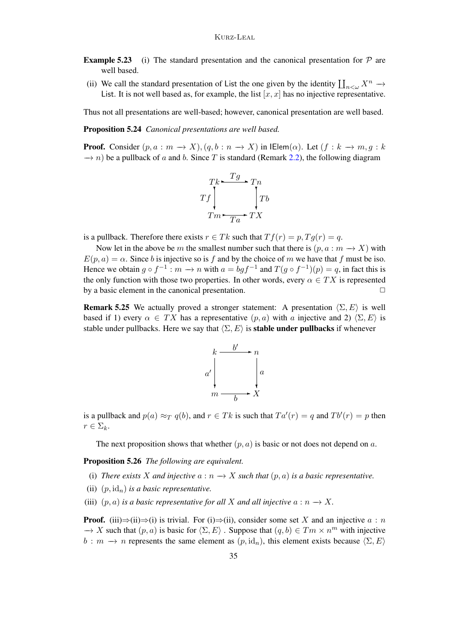- **Example 5.23** (i) The standard presentation and the canonical presentation for  $\mathcal{P}$  are well based.
- (ii) We call the standard presentation of List the one given by the identity  $\prod_{n<\omega} X^n \to$ List. It is not well based as, for example, the list  $[x, x]$  has no injective representative.

Thus not all presentations are well-based; however, canonical presentation are well based.

Proposition 5.24 *Canonical presentations are well based.*

**Proof.** Consider  $(p, a : m \to X), (q, b : n \to X)$  in IElem $(\alpha)$ . Let  $(f : k \to m, g : k$  $\rightarrow$  n) be a pullback of a and b. Since T is standard (Remark [2.2\)](#page-3-0), the following diagram



is a pullback. Therefore there exists  $r \in Tk$  such that  $Tf(r) = p$ ,  $Tg(r) = q$ .

Now let in the above be m the smallest number such that there is  $(p, a : m \rightarrow X)$  with  $E(p, a) = \alpha$ . Since b is injective so is f and by the choice of m we have that f must be iso. Hence we obtain  $g \circ f^{-1} : m \to n$  with  $a = bgf^{-1}$  and  $T(g \circ f^{-1})(p) = q$ , in fact this is the only function with those two properties. In other words, every  $\alpha \in TX$  is represented by a basic element in the canonical presentation.  $\Box$ 

**Remark 5.25** We actually proved a stronger statement: A presentation  $\langle \Sigma, E \rangle$  is well based if 1) every  $\alpha \in TX$  has a representative  $(p, a)$  with a injective and 2)  $\langle \Sigma, E \rangle$  is stable under pullbacks. Here we say that  $\langle \Sigma, E \rangle$  is **stable under pullbacks** if whenever



is a pullback and  $p(a) \approx_T q(b)$ , and  $r \in Tk$  is such that  $Ta'(r) = q$  and  $Tb'(r) = p$  then  $r \in \Sigma_k$ .

The next proposition shows that whether  $(p, a)$  is basic or not does not depend on a.

Proposition 5.26 *The following are equivalent.*

- (i) *There exists* X and injective  $a : n \rightarrow X$  *such that*  $(p, a)$  *is a basic representative.*
- (ii)  $(p, id<sub>n</sub>)$  *is a basic representative.*
- (iii)  $(p, a)$  *is a basic representative for all X and all injective*  $a : n \rightarrow X$ .

**Proof.** (iii) $\Rightarrow$ (ii) is trivial. For (i) $\Rightarrow$ (ii), consider some set X and an injective  $a : n$  $\rightarrow X$  such that  $(p, a)$  is basic for  $\langle \Sigma, E \rangle$ . Suppose that  $(q, b) \in Tm \times n^m$  with injective  $b : m \to n$  represents the same element as  $(p, id_n)$ , this element exists because  $\langle \Sigma, E \rangle$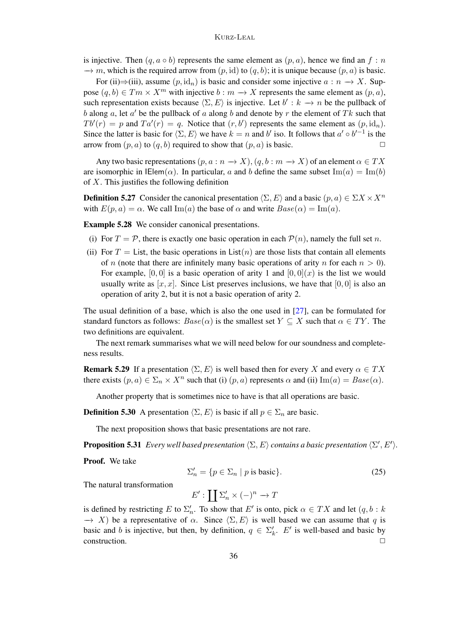is injective. Then  $(q, a \circ b)$  represents the same element as  $(p, a)$ , hence we find an  $f : n$  $\rightarrow$  m, which is the required arrow from  $(p, id)$  to  $(q, b)$ ; it is unique because  $(p, a)$  is basic.

For (ii) $\Rightarrow$ (iii), assume  $(p, id_n)$  is basic and consider some injective  $a : n \rightarrow X$ . Suppose  $(q, b) \in Tm \times X^m$  with injective  $b : m \to X$  represents the same element as  $(p, a)$ , such representation exists because  $\langle \Sigma, E \rangle$  is injective. Let  $b' : k \to n$  be the pullback of b along a, let  $a'$  be the pullback of a along b and denote by r the element of Tk such that  $Tb'(r) = p$  and  $Ta'(r) = q$ . Notice that  $(r, b')$  represents the same element as  $(p, id_n)$ . Since the latter is basic for  $\langle \Sigma, E \rangle$  we have  $k = n$  and b' iso. It follows that  $a' \circ b'^{-1}$  is the arrow from  $(p, a)$  to  $(q, b)$  required to show that  $(p, a)$  is basic.  $\Box$ 

Any two basic representations  $(p, a : n \to X), (q, b : m \to X)$  of an element  $\alpha \in TX$ are isomorphic in  $\mathsf{I}\mathsf{Elem}(\alpha)$ . In particular, a and b define the same subset  $\mathrm{Im}(a) = \mathrm{Im}(b)$ of  $X$ . This justifies the following definition

**Definition 5.27** Consider the canonical presentation  $\langle \Sigma, E \rangle$  and a basic  $(p, a) \in \Sigma X \times X^n$ with  $E(p, a) = \alpha$ . We call Im(a) the base of  $\alpha$  and write  $Base(\alpha) = \text{Im}(a)$ .

Example 5.28 We consider canonical presentations.

- (i) For  $T = \mathcal{P}$ , there is exactly one basic operation in each  $\mathcal{P}(n)$ , namely the full set n.
- (ii) For  $T =$  List, the basic operations in List $(n)$  are those lists that contain all elements of n (note that there are infinitely many basic operations of arity n for each  $n > 0$ ). For example,  $[0, 0]$  is a basic operation of arity 1 and  $[0, 0](x)$  is the list we would usually write as  $[x, x]$ . Since List preserves inclusions, we have that [0, 0] is also an operation of arity 2, but it is not a basic operation of arity 2.

The usual definition of a base, which is also the one used in [\[27\]](#page-43-14), can be formulated for standard functors as follows:  $Base(\alpha)$  is the smallest set  $Y \subseteq X$  such that  $\alpha \in TY$ . The two definitions are equivalent.

The next remark summarises what we will need below for our soundness and completeness results.

**Remark 5.29** If a presentation  $\langle \Sigma, E \rangle$  is well based then for every X and every  $\alpha \in TX$ there exists  $(p, a) \in \Sigma_n \times X^n$  such that (i)  $(p, a)$  represents  $\alpha$  and (ii)  $\text{Im}(a) = Base(\alpha)$ .

Another property that is sometimes nice to have is that all operations are basic.

**Definition 5.30** A presentation  $\langle \Sigma, E \rangle$  is basic if all  $p \in \Sigma_n$  are basic.

The next proposition shows that basic presentations are not rare.

**Proposition 5.31** *Every well based presentation*  $\langle \Sigma, E \rangle$  *contains a basic presentation*  $\langle \Sigma', E' \rangle$ *.* 

Proof. We take

$$
\Sigma'_n = \{ p \in \Sigma_n \mid p \text{ is basic} \}. \tag{25}
$$

The natural transformation

 $E':\prod \sum_{n}^{\prime} \times (-)^{n} \rightarrow T$ 

is defined by restricting E to  $\Sigma'_n$ . To show that E' is onto, pick  $\alpha \in TX$  and let  $(q, b : k)$  $\rightarrow$  X) be a representative of  $\alpha$ . Since  $\langle \Sigma, E \rangle$  is well based we can assume that q is basic and b is injective, but then, by definition,  $q \in \Sigma'_k$ . E' is well-based and basic by construction. ✷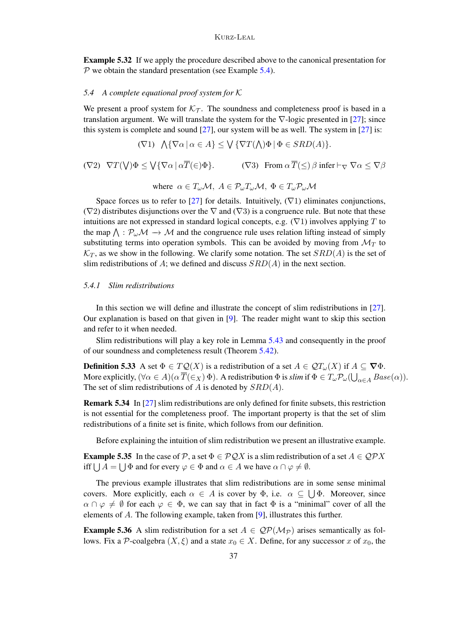Example 5.32 If we apply the procedure described above to the canonical presentation for  $P$  we obtain the standard presentation (see Example [5.4\)](#page-28-0).

### *5.4 A complete equational proof system for* K

We present a proof system for  $K<sub>T</sub>$ . The soundness and completeness proof is based in a translation argument. We will translate the system for the  $\nabla$ -logic presented in [\[27\]](#page-43-14); since this system is complete and sound  $[27]$ , our system will be as well. The system in  $[27]$  is:

$$
(\nabla 1) \quad \text{$\bigwedge$} \{\nabla \alpha \, | \, \alpha \in A\} \leq \text{$\bigvee$} \{\nabla T(\text{$\bigwedge$}) \Phi \, | \, \Phi \in SRD(A)\}.
$$

$$
(\nabla 2) \quad \nabla T(\mathsf{V}) \Phi \leq \mathsf{V} \{ \nabla \alpha \mid \alpha \overline{T}(\in) \Phi \}. \tag{ \nabla 3) \quad \text{From } \alpha \overline{T}(\leq) \beta \text{ infer } \vdash_{\nabla} \nabla \alpha \leq \nabla \beta
$$

where 
$$
\alpha \in T_{\omega} \mathcal{M}, A \in \mathcal{P}_{\omega} T_{\omega} \mathcal{M}, \Phi \in T_{\omega} \mathcal{P}_{\omega} \mathcal{M}
$$

Space forces us to refer to [\[27\]](#page-43-14) for details. Intuitively,  $(\nabla 1)$  eliminates conjunctions,  $(\nabla 2)$  distributes disjunctions over the  $\nabla$  and  $(\nabla 3)$  is a congruence rule. But note that these intuitions are not expressed in standard logical concepts, e.g.  $(\nabla 1)$  involves applying T to the map  $\bigwedge : \mathcal{P}_{\omega} \mathcal{M} \to \mathcal{M}$  and the congruence rule uses relation lifting instead of simply substituting terms into operation symbols. This can be avoided by moving from  $\mathcal{M}_T$  to  $\mathcal{K}_T$ , as we show in the following. We clarify some notation. The set  $SRD(A)$  is the set of slim redistributions of A; we defined and discuss  $SRD(A)$  in the next section.

### *5.4.1 Slim redistributions*

In this section we will define and illustrate the concept of slim redistributions in [\[27\]](#page-43-14). Our explanation is based on that given in  $[9]$ . The reader might want to skip this section and refer to it when needed.

Slim redistributions will play a key role in Lemma [5.43](#page-38-0) and consequently in the proof of our soundness and completeness result (Theorem [5.42\)](#page-38-1).

<span id="page-36-0"></span>**Definition 5.33** A set  $\Phi \in TQ(X)$  is a redistribution of a set  $A \in QT_\omega(X)$  if  $A \subseteq \nabla \Phi$ . More explicitly,  $(\forall \alpha \in A)(\alpha \overline{T}(\in_X) \Phi)$ . A redistribution  $\Phi$  is *slim* if  $\Phi \in T_\omega \mathcal{P}_\omega(\bigcup_{\alpha \in A} Base(\alpha)).$ The set of slim redistributions of  $A$  is denoted by  $SRD(A)$ .

Remark 5.34 In [\[27\]](#page-43-14) slim redistributions are only defined for finite subsets, this restriction is not essential for the completeness proof. The important property is that the set of slim redistributions of a finite set is finite, which follows from our definition.

Before explaining the intuition of slim redistribution we present an illustrative example.

**Example 5.35** In the case of P, a set  $\Phi \in \mathcal{PQ}X$  is a slim redistribution of a set  $A \in \mathcal{QP}X$ iff  $\bigcup A = \bigcup \Phi$  and for every  $\varphi \in \Phi$  and  $\alpha \in A$  we have  $\alpha \cap \varphi \neq \emptyset$ .

The previous example illustrates that slim redistributions are in some sense minimal covers. More explicitly, each  $\alpha \in A$  is cover by  $\Phi$ , i.e.  $\alpha \subseteq \bigcup \Phi$ . Moreover, since  $\alpha \cap \varphi \neq \emptyset$  for each  $\varphi \in \Phi$ , we can say that in fact  $\Phi$  is a "minimal" cover of all the elements of A. The following example, taken from [\[9\]](#page-42-16), illustrates this further.

**Example 5.36** A slim redistribution for a set  $A \in QP(\mathcal{M}_P)$  arises semantically as follows. Fix a P-coalgebra  $(X, \xi)$  and a state  $x_0 \in X$ . Define, for any successor x of  $x_0$ , the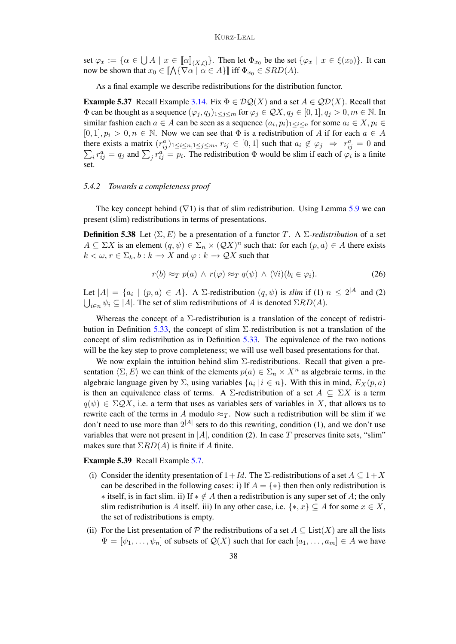set  $\varphi_x := \{ \alpha \in \bigcup A \mid x \in [\![\alpha]\!]_{(X,\xi)} \}.$  Then let  $\Phi_{x_0}$  be the set  $\{\varphi_x \mid x \in \xi(x_0)\}.$  It can now be shown that  $x_0 \in [\![ \bigwedge \{ \nabla \alpha \mid \alpha \in A \}] \!]$  iff  $\Phi_{x_0} \in SRD(A)$ .

As a final example we describe redistributions for the distribution functor.

**Example 5.37** Recall Example [3.14.](#page-12-0) Fix  $\Phi \in \mathcal{DQ}(X)$  and a set  $A \in \mathcal{QD}(X)$ . Recall that  $\Phi$  can be thought as a sequence  $(\varphi_j, q_j)_{1 \leq j \leq m}$  for  $\varphi_j \in \mathcal{QX}, q_j \in [0, 1], q_j > 0, m \in \mathbb{N}$ . In similar fashion each  $a \in A$  can be seen as a sequence  $(a_i, p_i)_{1 \leq i \leq n}$  for some  $a_i \in X, p_i \in A$  $[0, 1], p_i > 0, n \in \mathbb{N}$ . Now we can see that  $\Phi$  is a redistribution of A if for each  $a \in A$ there exists a matrix  $(r_{ij}^a)_{1 \le i \le n, 1 \le j \le m}$ ,  $r_{ij} \in [0, 1]$  such that  $a_i \notin \varphi_j \Rightarrow r_{ij}^a = 0$  and  $\sum_i r_{ij}^a = q_j$  and  $\sum_j r_{ij}^a = p_i$ . The redistribution  $\Phi$  would be slim if each of  $\varphi_i$  is a finite set.

#### *5.4.2 Towards a completeness proof*

The key concept behind ( $\nabla$ 1) is that of slim redistribution. Using Lemma [5.9](#page-30-1) we can present (slim) redistributions in terms of presentations.

**Definition 5.38** Let  $\langle \Sigma, E \rangle$  be a presentation of a functor T. A  $\Sigma$ -redistribution of a set  $A \subseteq \Sigma X$  is an element  $(q, \psi) \in \Sigma_n \times (QX)^n$  such that: for each  $(p, a) \in A$  there exists  $k < \omega, r \in \Sigma_k, b : k \to X$  and  $\varphi : k \to \mathcal{Q}X$  such that

<span id="page-37-0"></span>
$$
r(b) \approx_T p(a) \land r(\varphi) \approx_T q(\psi) \land (\forall i)(b_i \in \varphi_i).
$$
 (26)

Let  $|A| = \{a_i \mid (p, a) \in A\}$ . A  $\Sigma$ -redistribution  $(q, \psi)$  is *slim* if (1)  $n \leq 2^{|A|}$  and (2)  $\bigcup_{i \in n} \psi_i \subseteq |A|$ . The set of slim redistributions of A is denoted  $\Sigma RD(A)$ .

Whereas the concept of a  $\Sigma$ -redistribution is a translation of the concept of redistri-bution in Definition [5.33,](#page-36-0) the concept of slim  $\Sigma$ -redistribution is not a translation of the concept of slim redistribution as in Definition [5.33.](#page-36-0) The equivalence of the two notions will be the key step to prove completeness; we will use well based presentations for that.

We now explain the intuition behind slim  $\Sigma$ -redistributions. Recall that given a presentation  $\langle \Sigma, E \rangle$  we can think of the elements  $p(a) \in \Sigma_n \times X^n$  as algebraic terms, in the algebraic language given by  $\Sigma$ , using variables  $\{a_i \mid i \in n\}$ . With this in mind,  $E_X(p, a)$ is then an equivalence class of terms. A  $\Sigma$ -redistribution of a set  $A \subseteq \Sigma X$  is a term  $q(\psi) \in \Sigma \mathcal{Q}X$ , i.e. a term that uses as variables sets of variables in X, that allows us to rewrite each of the terms in A modulo  $\approx_T$ . Now such a redistribution will be slim if we don't need to use more than  $2^{|A|}$  sets to do this rewriting, condition (1), and we don't use variables that were not present in  $|A|$ , condition (2). In case T preserves finite sets, "slim" makes sure that  $\Sigma RD(A)$  is finite if A finite.

Example 5.39 Recall Example [5.7.](#page-29-1)

- (i) Consider the identity presentation of  $1+Id$ . The  $\Sigma$ -redistributions of a set  $A \subseteq 1+X$ can be described in the following cases: i) If  $A = \{*\}$  then then only redistribution is  $\ast$  itself, is in fact slim. ii) If  $\ast \notin A$  then a redistribution is any super set of A; the only slim redistribution is A itself. iii) In any other case, i.e.  $\{*,x\} \subseteq A$  for some  $x \in X$ , the set of redistributions is empty.
- (ii) For the List presentation of P the redistributions of a set  $A \subseteq \text{List}(X)$  are all the lists  $\Psi = [\psi_1, \ldots, \psi_n]$  of subsets of  $\mathcal{Q}(X)$  such that for each  $[a_1, \ldots, a_m] \in A$  we have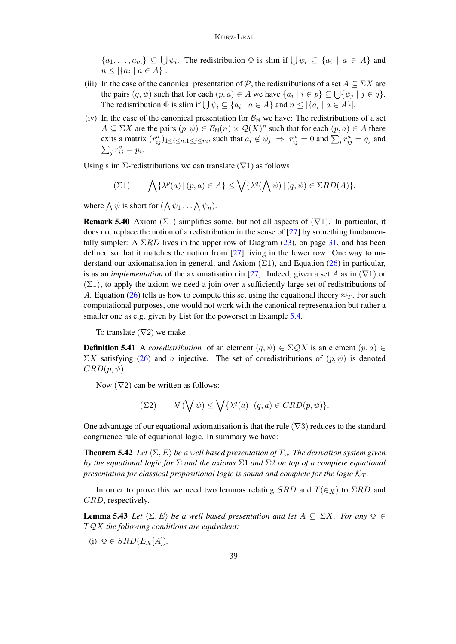$\{a_1,\ldots,a_m\} \subseteq \bigcup \psi_i$ . The redistribution  $\Phi$  is slim if  $\bigcup \psi_i \subseteq \{a_i \mid a \in A\}$  and  $n \leq |\{a_i \mid a \in A\}|.$ 

- (iii) In the case of the canonical presentation of  $P$ , the redistributions of a set  $A \subseteq \Sigma X$  are the pairs  $(q, \psi)$  such that for each  $(p, a) \in A$  we have  $\{a_i \mid i \in p\} \subseteq \bigcup \{\psi_j \mid j \in q\}.$ The redistribution  $\Phi$  is slim if  $\bigcup \psi_i \subseteq \{a_i \mid a \in A\}$  and  $n \leq |\{a_i \mid a \in A\}|$ .
- (iv) In the case of the canonical presentation for  $\mathcal{B}_{\mathbb{N}}$  we have: The redistributions of a set  $A \subseteq \Sigma X$  are the pairs  $(p, \psi) \in \mathcal{B}_{\mathbb{N}}(n) \times \mathcal{Q}(X)^n$  such that for each  $(p, a) \in A$  there exits a matrix  $(r_{ij}^a)_{1 \le i \le n, 1 \le j \le m}$ , such that  $a_i \notin \psi_j \implies r_{ij}^a = 0$  and  $\sum_i r_{ij}^a = q_j$  and  $\sum_j r_{ij}^a = p_i.$

Using slim  $\Sigma$ -redistributions we can translate ( $\nabla$ 1) as follows

$$
\sum(21) \qquad \bigwedge \{\lambda^p(a) \, | \, (p,a) \in A\} \le \bigvee \{\lambda^q(\bigwedge \psi) \, | \, (q,\psi) \in \Sigma RD(A)\}.
$$

where  $\bigwedge \psi$  is short for  $(\bigwedge \psi_1 \dots \bigwedge \psi_n)$ .

**Remark 5.40** Axiom ( $\Sigma$ 1) simplifies some, but not all aspects of ( $\nabla$ 1). In particular, it does not replace the notion of a redistribution in the sense of [\[27\]](#page-43-14) by something fundamentally simpler: A  $\Sigma RD$  lives in the upper row of Diagram [\(23\)](#page-30-2), on page [31,](#page-30-2) and has been defined so that it matches the notion from [\[27\]](#page-43-14) living in the lower row. One way to understand our axiomatisation in general, and Axiom  $(\Sigma 1)$ , and Equation [\(26\)](#page-37-0) in particular, is as an *implementation* of the axiomatisation in [\[27\]](#page-43-14). Indeed, given a set A as in  $(\nabla 1)$  or  $(\Sigma 1)$ , to apply the axiom we need a join over a sufficiently large set of redistributions of A. Equation [\(26\)](#page-37-0) tells us how to compute this set using the equational theory  $\approx_T$ . For such computational purposes, one would not work with the canonical representation but rather a smaller one as e.g. given by List for the powerset in Example [5.4.](#page-28-0)

To translate  $(\nabla 2)$  we make

**Definition 5.41** A *coredistribution* of an element  $(q, \psi) \in \Sigma \mathcal{Q}X$  is an element  $(p, a) \in$  $\Sigma X$  satisfying [\(26\)](#page-37-0) and a injective. The set of coredistributions of  $(p, \psi)$  is denoted  $CRD(p, \psi)$ .

Now  $(\nabla 2)$  can be written as follows:

$$
\sum 2) \qquad \lambda^p(\bigvee \psi) \le \bigvee \{ \lambda^q(a) \, | \, (q, a) \in CRD(p, \psi) \}.
$$

One advantage of our equational axiomatisation is that the rule ( $\nabla$ 3) reduces to the standard congruence rule of equational logic. In summary we have:

<span id="page-38-1"></span>**Theorem 5.42** Let  $\langle \Sigma, E \rangle$  be a well based presentation of  $T_\omega$ . The derivation system given *by the equational logic for* Σ *and the axioms* Σ1 *and* Σ2 *on top of a complete equational presentation for classical propositional logic is sound and complete for the logic*  $K_T$ .

In order to prove this we need two lemmas relating  $SRD$  and  $\overline{T}(\epsilon_X)$  to  $\Sigma RD$  and CRD, respectively.

<span id="page-38-0"></span>**Lemma 5.43** *Let*  $\langle \Sigma, E \rangle$  *be a well based presentation and let*  $A \subseteq \Sigma X$ *. For any*  $\Phi \in$ T QX *the following conditions are equivalent:*

(i)  $\Phi \in SRD(E_X[A]).$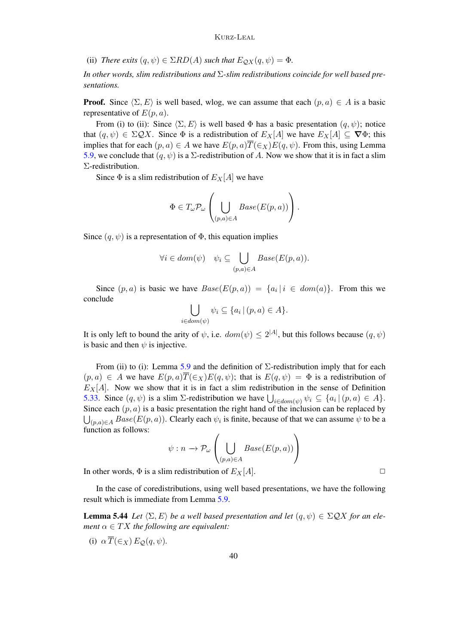(ii) *There exits*  $(q, \psi) \in \Sigma RD(A)$  *such that*  $E_{\mathcal{Q}X}(q, \psi) = \Phi$ *.* 

*In other words, slim redistributions and* Σ*-slim redistributions coincide for well based presentations.*

**Proof.** Since  $\langle \Sigma, E \rangle$  is well based, wlog, we can assume that each  $(p, a) \in A$  is a basic representative of  $E(p, a)$ .

From (i) to (ii): Since  $\langle \Sigma, E \rangle$  is well based Φ has a basic presentation  $(q, \psi)$ ; notice that  $(q, \psi) \in \Sigma \mathcal{Q}X$ . Since  $\Phi$  is a redistribution of  $E_X[A]$  we have  $E_X[A] \subseteq \nabla \Phi$ ; this implies that for each  $(p, a) \in A$  we have  $E(p, a) \overline{T}(\epsilon_X) E(q, \psi)$ . From this, using Lemma [5.9,](#page-30-1) we conclude that  $(q, \psi)$  is a  $\Sigma$ -redistribution of A. Now we show that it is in fact a slim Σ-redistribution.

Since  $\Phi$  is a slim redistribution of  $E_X[A]$  we have

$$
\Phi\in T_{\omega}\mathcal{P}_{\omega}\left(\bigcup_{(p,a)\in A}Base(E(p,a))\right).
$$

Since  $(q, \psi)$  is a representation of  $\Phi$ , this equation implies

$$
\forall i \in dom(\psi) \quad \psi_i \subseteq \bigcup_{(p,a)\in A} Base(E(p,a)).
$$

Since  $(p, a)$  is basic we have  $Base(E(p, a)) = \{a_i | i \in dom(a)\}\$ . From this we conclude

$$
\bigcup_{i \in dom(\psi)} \psi_i \subseteq \{a_i \, | \, (p,a) \in A\}.
$$

It is only left to bound the arity of  $\psi$ , i.e.  $dom(\psi) \leq 2^{|A|}$ , but this follows because  $(q, \psi)$ is basic and then  $\psi$  is injective.

From (ii) to (i): Lemma [5.9](#page-30-1) and the definition of  $\Sigma$ -redistribution imply that for each  $(p, a) \in A$  we have  $E(p, a) \overline{T}(\epsilon_X) E(q, \psi)$ ; that is  $E(q, \psi) = \Phi$  is a redistribution of  $E_X[A]$ . Now we show that it is in fact a slim redistribution in the sense of Definition [5.33.](#page-36-0) Since  $(q, \psi)$  is a slim  $\Sigma$ -redistribution we have  $\bigcup_{i \in dom(\psi)} \psi_i \subseteq \{a_i | (p, a) \in A\}.$ Since each  $(p, a)$  is a basic presentation the right hand of the inclusion can be replaced by  $\bigcup_{(p,a)\in A} Base(E(p,a))$ . Clearly each  $\psi_i$  is finite, because of that we can assume  $\psi$  to be a function as follows:

$$
\psi: n \to \mathcal{P}_{\omega}\left(\bigcup_{(p,a)\in A} Base(E(p,a))\right)
$$

In other words,  $\Phi$  is a slim redistribution of  $E_X[A]$ .

In the case of coredistributions, using well based presentations, we have the following result which is immediate from Lemma [5.9.](#page-30-1)

<span id="page-39-0"></span>**Lemma 5.44** *Let*  $\langle \Sigma, E \rangle$  *be a well based presentation and let*  $(q, \psi) \in \Sigma \mathcal{Q}X$  *for an element*  $\alpha \in TX$  *the following are equivalent:* 

(i)  $\alpha \overline{T}(\epsilon_{X}) E_{\Omega}(q,\psi)$ .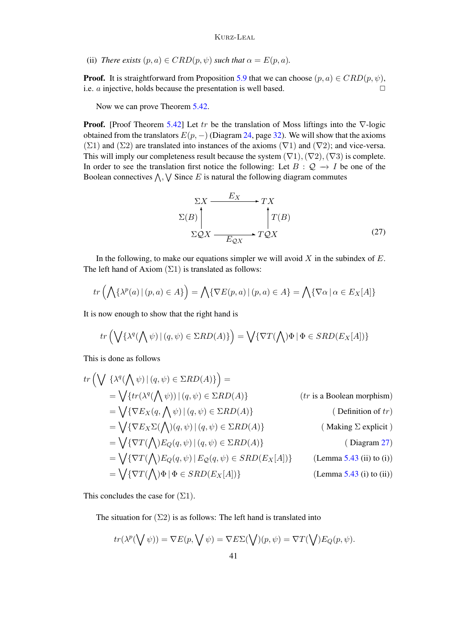(ii) *There exists*  $(p, a) \in CRD(p, \psi)$  *such that*  $\alpha = E(p, a)$ *.* 

**Proof.** It is straightforward from Proposition [5.9](#page-30-1) that we can choose  $(p, a) \in CRD(p, \psi)$ , i.e.  $\alpha$  injective, holds because the presentation is well based.  $\Box$ 

Now we can prove Theorem [5.42.](#page-38-1)

**Proof.** [Proof Theorem [5.42\]](#page-38-1) Let tr be the translation of Moss liftings into the  $\nabla$ -logic obtained from the translators  $E(p, -)$  (Diagram [24,](#page-31-1) page [32\)](#page-31-1). We will show that the axioms (Σ1) and (Σ2) are translated into instances of the axioms ( $\nabla$ 1) and ( $\nabla$ 2); and vice-versa. This will imply our completeness result because the system  $(\nabla 1), (\nabla 2), (\nabla 3)$  is complete. In order to see the translation first notice the following: Let  $B: \mathcal{Q} \to I$  be one of the Boolean connectives  $\bigwedge$ ,  $\bigvee$  Since E is natural the following diagram commutes

<span id="page-40-0"></span>
$$
\Sigma X \xrightarrow{E_X} TX
$$
  
\n
$$
\Sigma(B) \downarrow T(B)
$$
  
\n
$$
\Sigma QX \xrightarrow{E_{QX}} TQX
$$
 (27)

In the following, to make our equations simpler we will avoid  $X$  in the subindex of  $E$ . The left hand of Axiom  $(\Sigma 1)$  is translated as follows:

$$
tr\left(\bigwedge \{ \lambda^p(a) \, | \, (p,a) \in A \} \right) = \bigwedge \{ \nabla E(p,a) \, | \, (p,a) \in A \} = \bigwedge \{ \nabla \alpha \, | \, \alpha \in E_X[A] \}
$$

It is now enough to show that the right hand is

$$
tr\left(\bigvee\{\lambda^q(\bigwedge\psi)\,|\,(q,\psi)\in \Sigma RD(A)\}\right)=\bigvee\{\nabla T(\bigwedge)\Phi\,|\,\Phi\in SRD(E_X[A])\}
$$

This is done as follows

$$
tr\left(\bigvee \{\lambda^{q}(\bigwedge \psi) | (q, \psi) \in \Sigma RD(A) \}\right) =
$$
\n
$$
= \bigvee \{tr(\lambda^{q}(\bigwedge \psi)) | (q, \psi) \in \Sigma RD(A) \} \qquad (tr \text{ is a Boolean morphism})
$$
\n
$$
= \bigvee \{\nabla E_X(q, \bigwedge \psi) | (q, \psi) \in \Sigma RD(A) \} \qquad (\text{Definition of } tr)
$$
\n
$$
= \bigvee \{\nabla E_X \Sigma(\bigwedge) (q, \psi) | (q, \psi) \in \Sigma RD(A) \} \qquad (\text{Making } \Sigma \text{ explicit } )
$$
\n
$$
= \bigvee \{\nabla T(\bigwedge) E_Q(q, \psi) | (q, \psi) \in \Sigma RD(A) \} \qquad (\text{Diagram 27})
$$
\n
$$
= \bigvee \{\nabla T(\bigwedge) E_Q(q, \psi) | E_Q(q, \psi) \in SRD(E_X[A])\} \qquad (\text{Lemma 5.43 (ii) to (i)})
$$
\n
$$
= \bigvee \{\nabla T(\bigwedge) \Phi | \Phi \in SRD(E_X[A])\} \qquad (\text{Lemma 5.43 (ii) to (ii)})
$$

This concludes the case for  $(\Sigma 1)$ .

The situation for  $(\Sigma 2)$  is as follows: The left hand is translated into

$$
tr(\lambda^{p}(\bigvee \psi)) = \nabla E(p, \bigvee \psi) = \nabla E\Sigma(\bigvee)(p, \psi) = \nabla T(\bigvee)E_{Q}(p, \psi).
$$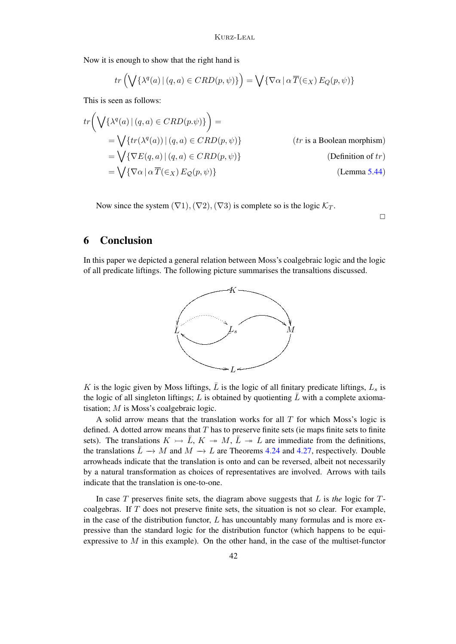Now it is enough to show that the right hand is

$$
tr\left(\bigvee\{\lambda^{q}(a) \mid (q,a) \in CRD(p,\psi)\}\right) = \bigvee\{\nabla \alpha \mid \alpha \overline{T}(\in X) E_{Q}(p,\psi)\}\
$$

This is seen as follows:

$$
tr\left(\bigvee\{\lambda^{q}(a) \mid (q, a) \in CRD(p.\psi)\}\right) =
$$
\n
$$
= \bigvee\{tr(\lambda^{q}(a)) \mid (q, a) \in CRD(p, \psi)\}\
$$
\n
$$
= \bigvee\{\nabla E(q, a) \mid (q, a) \in CRD(p, \psi)\}\
$$
\n
$$
= \bigvee\{\nabla \alpha \mid \alpha \overline{T}(\in_{X}) E_{\mathcal{Q}}(p, \psi)\}\
$$
\n(Definition of *tr*)\n(Lemma 5.44)

Now since the system  $(\nabla 1), (\nabla 2), (\nabla 3)$  is complete so is the logic  $\mathcal{K}_T$ .

 $\Box$ 

# 6 Conclusion

In this paper we depicted a general relation between Moss's coalgebraic logic and the logic of all predicate liftings. The following picture summarises the transaltions discussed.



K is the logic given by Moss liftings,  $\overline{L}$  is the logic of all finitary predicate liftings,  $L_s$  is the logic of all singleton liftings; L is obtained by quotienting  $\bar{L}$  with a complete axiomatisation; M is Moss's coalgebraic logic.

A solid arrow means that the translation works for all  $T$  for which Moss's logic is defined. A dotted arrow means that  $T$  has to preserve finite sets (ie maps finite sets to finite sets). The translations  $K \rightarrow \bar{L}$ ,  $K \rightarrow M$ ,  $\bar{L} \rightarrow L$  are immediate from the definitions, the translations  $\bar{L} \to M$  and  $M \to L$  are Theorems [4.24](#page-26-1) and [4.27,](#page-27-2) respectively. Double arrowheads indicate that the translation is onto and can be reversed, albeit not necessarily by a natural transformation as choices of representatives are involved. Arrows with tails indicate that the translation is one-to-one.

In case T preserves finite sets, the diagram above suggests that L is *the* logic for Tcoalgebras. If T does not preserve finite sets, the situation is not so clear. For example, in the case of the distribution functor,  $L$  has uncountably many formulas and is more expressive than the standard logic for the distribution functor (which happens to be equiexpressive to  $M$  in this example). On the other hand, in the case of the multiset-functor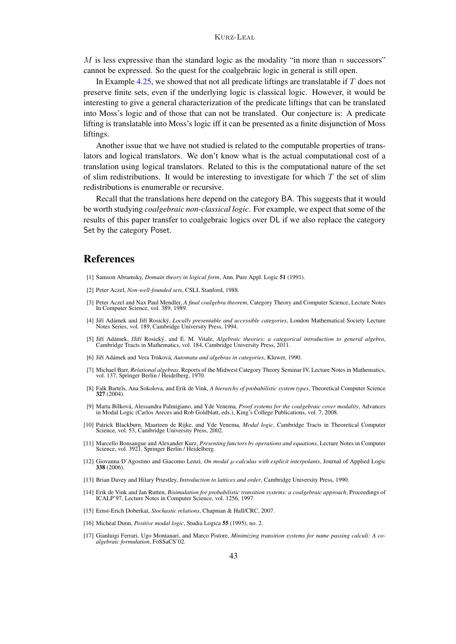M is less expressive than the standard logic as the modality "in more than  $n$  successors" cannot be expressed. So the quest for the coalgebraic logic in general is still open.

In Example [4.25,](#page-26-0) we showed that not all predicate liftings are translatable if  $T$  does not preserve finite sets, even if the underlying logic is classical logic. However, it would be interesting to give a general characterization of the predicate liftings that can be translated into Moss's logic and of those that can not be translated. Our conjecture is: A predicate lifting is translatable into Moss's logic iff it can be presented as a finite disjunction of Moss liftings.

Another issue that we have not studied is related to the computable properties of translators and logical translators. We don't know what is the actual computational cost of a translation using logical translators. Related to this is the computational nature of the set of slim redistributions. It would be interesting to investigate for which  $T$  the set of slim redistributions is enumerable or recursive.

Recall that the translations here depend on the category BA. This suggests that it would be worth studying *coalgebraic non-classical logic*. For example, we expect that some of the results of this paper transfer to coalgebraic logics over DL if we also replace the category Set by the category Poset.

# References

- <span id="page-42-15"></span>[1] Samson Abramsky, *Domain theory in logical form*, Ann. Pure Appl. Logic 51 (1991).
- <span id="page-42-0"></span>[2] Peter Aczel, *Non-well-founded sets*, CSLI, Stanford, 1988.
- <span id="page-42-1"></span>[3] Peter Aczel and Nax Paul Mendler, *A final coalgebra theorem*, Category Theory and Computer Science, Lecture Notes In Computer Science, vol. 389, 1989.
- <span id="page-42-6"></span>[4] Jiří Adámek and Jiří Rosický, *Locally presentable and accessible categories*, London Mathematical Society Lecture Notes Series, vol. 189, Cambridge University Press, 1994.
- <span id="page-42-10"></span>[5] Jiří Adámek, JJiří Rosický, and E. M. Vitale, Algebraic theories: a categorical introduction to general algebra, Cambridge Tracts in Mathematics, vol. 184, Cambridge University Press, 2011.
- <span id="page-42-5"></span>[6] Jiří Adámek and Vera Trnková, Automata and algebras in categories, Kluwer, 1990.
- <span id="page-42-8"></span>[7] Michael Barr, *Relational algebras*, Reports of the Midwest Category Theory Seminar IV, Lecture Notes in Mathematics, vol. 137, Springer Berlin / Heidelberg, 1970.
- <span id="page-42-12"></span>[8] Falk Bartels, Ana Sokolova, and Erik de Vink, *A hierarchy of probabilistic system types*, Theoretical Computer Science 327 (2004).
- <span id="page-42-16"></span>[9] Marta Bílková, Alessandra Palmigiano, and Yde Venema, *Proof systems for the coalgebraic cover modality*, Advances in Modal Logic (Carlos Areces and Rob Goldblatt, eds.), King's College Publications, vol. 7, 2008.
- <span id="page-42-13"></span>[10] Patrick Blackburn, Maarteen de Rijke, and Yde Venema, *Modal logic*, Cambridge Tracts in Theoretical Computer Science, vol. 53, Cambridge University Press, 2002.
- <span id="page-42-11"></span>[11] Marcello Bonsangue and Alexander Kurz, *Presenting functors by operations and equations*, Lecture Notes in Computer Science, vol. 3921, Springer Berlin / Heidelberg.
- <span id="page-42-4"></span>[12] Giovanna D'Agostino and Giacomo Lenzi, *On modal* µ*-calculus with explicit interpolants*, Journal of Applied Logic 338 (2006).
- <span id="page-42-9"></span>[13] Brian Davey and Hilary Priestley, *Introduction to lattices and order*, Cambridge University Press, 1990.
- <span id="page-42-7"></span>[14] Erik de Vink and Jan Rutten, *Bisimulation for probabilistic transition systems: a coalgebraic approach*, Proceedings of ICALP'97, Lecture Notes in Computer Science, vol. 1256, 1997.
- <span id="page-42-3"></span>[15] Ernst-Erich Doberkat, *Stochastic relations*, Chapman & Hall/CRC, 2007.
- <span id="page-42-14"></span>[16] Micheal Dunn, *Positive modal logic*, Studia Logica 55 (1995), no. 2.
- <span id="page-42-2"></span>[17] Gianluigi Ferrari, Ugo Montanari, and Marco Pistore, *Minimizing transition systems for name passing calculi: A coalgebraic formulation*, FoSSaCS'02.